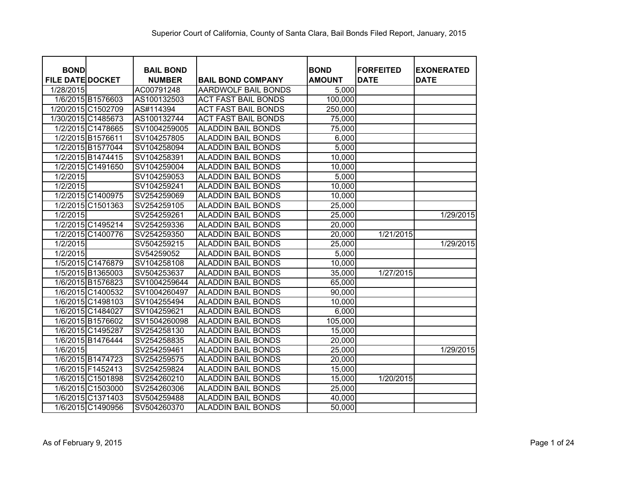| <b>BOND</b>             |                    | <b>BAIL BOND</b> |                            | <b>BOND</b>   | <b>FORFEITED</b> | <b>EXONERATED</b> |
|-------------------------|--------------------|------------------|----------------------------|---------------|------------------|-------------------|
| <b>FILE DATE DOCKET</b> |                    | <b>NUMBER</b>    | <b>BAIL BOND COMPANY</b>   | <b>AMOUNT</b> | <b>DATE</b>      | <b>DATE</b>       |
| 1/28/2015               |                    | AC00791248       | <b>AARDWOLF BAIL BONDS</b> | 5,000         |                  |                   |
|                         | 1/6/2015 B1576603  | AS100132503      | <b>ACT FAST BAIL BONDS</b> | 100,000       |                  |                   |
|                         | 1/20/2015 C1502709 | AS#114394        | <b>ACT FAST BAIL BONDS</b> | 250,000       |                  |                   |
|                         | 1/30/2015 C1485673 | AS100132744      | <b>ACT FAST BAIL BONDS</b> | 75,000        |                  |                   |
|                         | 1/2/2015 C1478665  | SV1004259005     | <b>ALADDIN BAIL BONDS</b>  | 75,000        |                  |                   |
|                         | 1/2/2015 B1576611  | SV104257805      | <b>ALADDIN BAIL BONDS</b>  | 6,000         |                  |                   |
|                         | 1/2/2015 B1577044  | SV104258094      | <b>ALADDIN BAIL BONDS</b>  | 5,000         |                  |                   |
|                         | 1/2/2015 B1474415  | SV104258391      | <b>ALADDIN BAIL BONDS</b>  | 10,000        |                  |                   |
|                         | 1/2/2015 C1491650  | SV104259004      | <b>ALADDIN BAIL BONDS</b>  | 10,000        |                  |                   |
| 1/2/2015                |                    | SV104259053      | <b>ALADDIN BAIL BONDS</b>  | 5,000         |                  |                   |
| 1/2/2015                |                    | SV104259241      | <b>ALADDIN BAIL BONDS</b>  | 10,000        |                  |                   |
|                         | 1/2/2015 C1400975  | SV254259069      | <b>ALADDIN BAIL BONDS</b>  | 10,000        |                  |                   |
|                         | 1/2/2015 C1501363  | SV254259105      | <b>ALADDIN BAIL BONDS</b>  | 25,000        |                  |                   |
| 1/2/2015                |                    | SV254259261      | <b>ALADDIN BAIL BONDS</b>  | 25,000        |                  | 1/29/2015         |
|                         | 1/2/2015 C1495214  | SV254259336      | <b>ALADDIN BAIL BONDS</b>  | 20,000        |                  |                   |
|                         | 1/2/2015 C1400776  | SV254259350      | <b>ALADDIN BAIL BONDS</b>  | 20,000        | 1/21/2015        |                   |
| 1/2/2015                |                    | SV504259215      | <b>ALADDIN BAIL BONDS</b>  | 25,000        |                  | 1/29/2015         |
| 1/2/2015                |                    | SV54259052       | <b>ALADDIN BAIL BONDS</b>  | 5,000         |                  |                   |
|                         | 1/5/2015 C1476879  | SV104258108      | <b>ALADDIN BAIL BONDS</b>  | 10,000        |                  |                   |
|                         | 1/5/2015 B1365003  | SV504253637      | <b>ALADDIN BAIL BONDS</b>  | 35,000        | 1/27/2015        |                   |
|                         | 1/6/2015 B1576823  | SV1004259644     | <b>ALADDIN BAIL BONDS</b>  | 65,000        |                  |                   |
|                         | 1/6/2015 C1400532  | SV1004260497     | <b>ALADDIN BAIL BONDS</b>  | 90,000        |                  |                   |
|                         | 1/6/2015 C1498103  | SV104255494      | <b>ALADDIN BAIL BONDS</b>  | 10,000        |                  |                   |
|                         | 1/6/2015 C1484027  | SV104259621      | <b>ALADDIN BAIL BONDS</b>  | 6,000         |                  |                   |
|                         | 1/6/2015 B1576602  | SV1504260098     | <b>ALADDIN BAIL BONDS</b>  | 105,000       |                  |                   |
|                         | 1/6/2015 C1495287  | SV254258130      | <b>ALADDIN BAIL BONDS</b>  | 15,000        |                  |                   |
|                         | 1/6/2015 B1476444  | SV254258835      | <b>ALADDIN BAIL BONDS</b>  | 20,000        |                  |                   |
| 1/6/2015                |                    | SV254259461      | <b>ALADDIN BAIL BONDS</b>  | 25,000        |                  | 1/29/2015         |
|                         | 1/6/2015 B1474723  | SV254259575      | <b>ALADDIN BAIL BONDS</b>  | 20,000        |                  |                   |
|                         | 1/6/2015 F1452413  | SV254259824      | <b>ALADDIN BAIL BONDS</b>  | 15,000        |                  |                   |
|                         | 1/6/2015 C1501898  | SV254260210      | <b>ALADDIN BAIL BONDS</b>  | 15,000        | 1/20/2015        |                   |
|                         | 1/6/2015 C1503000  | SV254260306      | <b>ALADDIN BAIL BONDS</b>  | 25,000        |                  |                   |
|                         | 1/6/2015 C1371403  | SV504259488      | <b>ALADDIN BAIL BONDS</b>  | 40,000        |                  |                   |
|                         | 1/6/2015 C1490956  | SV504260370      | <b>ALADDIN BAIL BONDS</b>  | 50,000        |                  |                   |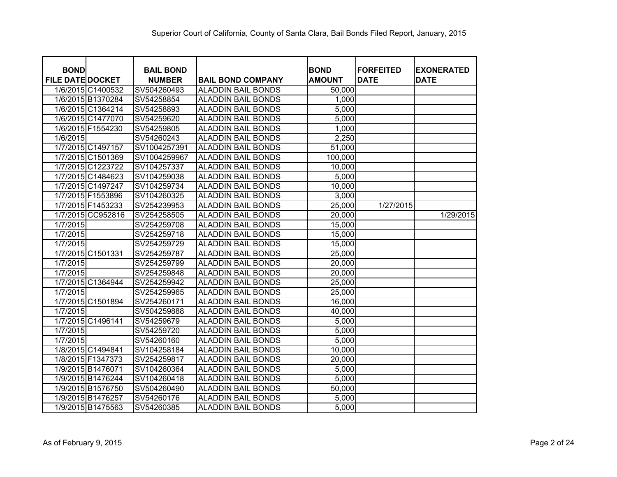| <b>BOND</b>             |                   | <b>BAIL BOND</b> |                           | <b>BOND</b>   | <b>FORFEITED</b> | <b>EXONERATED</b> |
|-------------------------|-------------------|------------------|---------------------------|---------------|------------------|-------------------|
| <b>FILE DATE DOCKET</b> |                   | <b>NUMBER</b>    | <b>BAIL BOND COMPANY</b>  | <b>AMOUNT</b> | <b>DATE</b>      | <b>DATE</b>       |
|                         | 1/6/2015 C1400532 | SV504260493      | <b>ALADDIN BAIL BONDS</b> | 50,000        |                  |                   |
|                         | 1/6/2015 B1370284 | SV54258854       | <b>ALADDIN BAIL BONDS</b> | 1,000         |                  |                   |
|                         | 1/6/2015 C1364214 | SV54258893       | <b>ALADDIN BAIL BONDS</b> | 5,000         |                  |                   |
|                         | 1/6/2015 C1477070 | SV54259620       | <b>ALADDIN BAIL BONDS</b> | 5,000         |                  |                   |
|                         | 1/6/2015 F1554230 | SV54259805       | <b>ALADDIN BAIL BONDS</b> | 1,000         |                  |                   |
| 1/6/2015                |                   | SV54260243       | <b>ALADDIN BAIL BONDS</b> | 2,250         |                  |                   |
|                         | 1/7/2015 C1497157 | SV1004257391     | <b>ALADDIN BAIL BONDS</b> | 51,000        |                  |                   |
|                         | 1/7/2015 C1501369 | SV1004259967     | <b>ALADDIN BAIL BONDS</b> | 100,000       |                  |                   |
|                         | 1/7/2015 C1223722 | SV104257337      | <b>ALADDIN BAIL BONDS</b> | 10,000        |                  |                   |
|                         | 1/7/2015 C1484623 | SV104259038      | <b>ALADDIN BAIL BONDS</b> | 5,000         |                  |                   |
|                         | 1/7/2015 C1497247 | SV104259734      | <b>ALADDIN BAIL BONDS</b> | 10,000        |                  |                   |
|                         | 1/7/2015 F1553896 | SV104260325      | <b>ALADDIN BAIL BONDS</b> | 3,000         |                  |                   |
|                         | 1/7/2015 F1453233 | SV254239953      | <b>ALADDIN BAIL BONDS</b> | 25,000        | 1/27/2015        |                   |
|                         | 1/7/2015 CC952816 | SV254258505      | <b>ALADDIN BAIL BONDS</b> | 20,000        |                  | 1/29/2015         |
| 1/7/2015                |                   | SV254259708      | <b>ALADDIN BAIL BONDS</b> | 15,000        |                  |                   |
| 1/7/2015                |                   | SV254259718      | <b>ALADDIN BAIL BONDS</b> | 15,000        |                  |                   |
| 1/7/2015                |                   | SV254259729      | <b>ALADDIN BAIL BONDS</b> | 15,000        |                  |                   |
|                         | 1/7/2015 C1501331 | SV254259787      | <b>ALADDIN BAIL BONDS</b> | 25,000        |                  |                   |
| 1/7/2015                |                   | SV254259799      | <b>ALADDIN BAIL BONDS</b> | 20,000        |                  |                   |
| 1/7/2015                |                   | SV254259848      | <b>ALADDIN BAIL BONDS</b> | 20,000        |                  |                   |
|                         | 1/7/2015 C1364944 | SV254259942      | <b>ALADDIN BAIL BONDS</b> | 25,000        |                  |                   |
| 1/7/2015                |                   | SV254259965      | <b>ALADDIN BAIL BONDS</b> | 25,000        |                  |                   |
|                         | 1/7/2015 C1501894 | SV254260171      | <b>ALADDIN BAIL BONDS</b> | 16,000        |                  |                   |
| 1/7/2015                |                   | SV504259888      | <b>ALADDIN BAIL BONDS</b> | 40,000        |                  |                   |
|                         | 1/7/2015 C1496141 | SV54259679       | <b>ALADDIN BAIL BONDS</b> | 5,000         |                  |                   |
| 1/7/2015                |                   | SV54259720       | <b>ALADDIN BAIL BONDS</b> | 5,000         |                  |                   |
| 1/7/2015                |                   | SV54260160       | <b>ALADDIN BAIL BONDS</b> | 5,000         |                  |                   |
|                         | 1/8/2015 C1494841 | SV104258184      | <b>ALADDIN BAIL BONDS</b> | 10,000        |                  |                   |
|                         | 1/8/2015 F1347373 | SV254259817      | <b>ALADDIN BAIL BONDS</b> | 20,000        |                  |                   |
|                         | 1/9/2015 B1476071 | SV104260364      | <b>ALADDIN BAIL BONDS</b> | 5,000         |                  |                   |
|                         | 1/9/2015 B1476244 | SV104260418      | <b>ALADDIN BAIL BONDS</b> | 5,000         |                  |                   |
|                         | 1/9/2015 B1576750 | SV504260490      | <b>ALADDIN BAIL BONDS</b> | 50,000        |                  |                   |
|                         | 1/9/2015 B1476257 | SV54260176       | <b>ALADDIN BAIL BONDS</b> | 5,000         |                  |                   |
|                         | 1/9/2015 B1475563 | SV54260385       | <b>ALADDIN BAIL BONDS</b> | 5,000         |                  |                   |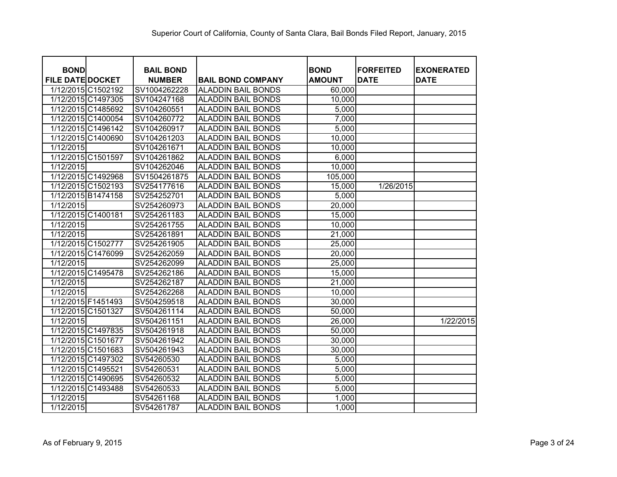| <b>BOND</b>             |                    | <b>BAIL BOND</b> |                           | <b>BOND</b>   | <b>FORFEITED</b> | <b>EXONERATED</b> |
|-------------------------|--------------------|------------------|---------------------------|---------------|------------------|-------------------|
| <b>FILE DATE DOCKET</b> |                    | <b>NUMBER</b>    | <b>BAIL BOND COMPANY</b>  | <b>AMOUNT</b> | <b>DATE</b>      | <b>DATE</b>       |
|                         | 1/12/2015 C1502192 | SV1004262228     | <b>ALADDIN BAIL BONDS</b> | 60,000        |                  |                   |
|                         | 1/12/2015 C1497305 | SV104247168      | <b>ALADDIN BAIL BONDS</b> | 10,000        |                  |                   |
|                         | 1/12/2015 C1485692 | SV104260551      | <b>ALADDIN BAIL BONDS</b> | 5,000         |                  |                   |
|                         | 1/12/2015 C1400054 | SV104260772      | <b>ALADDIN BAIL BONDS</b> | 7,000         |                  |                   |
|                         | 1/12/2015 C1496142 | SV104260917      | <b>ALADDIN BAIL BONDS</b> | 5,000         |                  |                   |
|                         | 1/12/2015 C1400690 | SV104261203      | <b>ALADDIN BAIL BONDS</b> | 10,000        |                  |                   |
| 1/12/2015               |                    | SV104261671      | <b>ALADDIN BAIL BONDS</b> | 10,000        |                  |                   |
| 1/12/2015 C1501597      |                    | SV104261862      | <b>ALADDIN BAIL BONDS</b> | 6,000         |                  |                   |
| 1/12/2015               |                    | SV104262046      | <b>ALADDIN BAIL BONDS</b> | 10,000        |                  |                   |
|                         | 1/12/2015 C1492968 | SV1504261875     | <b>ALADDIN BAIL BONDS</b> | 105,000       |                  |                   |
|                         | 1/12/2015 C1502193 | SV254177616      | <b>ALADDIN BAIL BONDS</b> | 15,000        | 1/26/2015        |                   |
| 1/12/2015 B1474158      |                    | SV254252701      | <b>ALADDIN BAIL BONDS</b> | 5,000         |                  |                   |
| 1/12/2015               |                    | SV254260973      | <b>ALADDIN BAIL BONDS</b> | 20,000        |                  |                   |
| 1/12/2015 C1400181      |                    | SV254261183      | <b>ALADDIN BAIL BONDS</b> | 15,000        |                  |                   |
| 1/12/2015               |                    | SV254261755      | <b>ALADDIN BAIL BONDS</b> | 10,000        |                  |                   |
| 1/12/2015               |                    | SV254261891      | <b>ALADDIN BAIL BONDS</b> | 21,000        |                  |                   |
| 1/12/2015 C1502777      |                    | SV254261905      | <b>ALADDIN BAIL BONDS</b> | 25,000        |                  |                   |
|                         | 1/12/2015 C1476099 | SV254262059      | <b>ALADDIN BAIL BONDS</b> | 20,000        |                  |                   |
| 1/12/2015               |                    | SV254262099      | <b>ALADDIN BAIL BONDS</b> | 25,000        |                  |                   |
|                         | 1/12/2015 C1495478 | SV254262186      | <b>ALADDIN BAIL BONDS</b> | 15,000        |                  |                   |
| 1/12/2015               |                    | SV254262187      | <b>ALADDIN BAIL BONDS</b> | 21,000        |                  |                   |
| 1/12/2015               |                    | SV254262268      | <b>ALADDIN BAIL BONDS</b> | 10,000        |                  |                   |
| 1/12/2015 F1451493      |                    | SV504259518      | <b>ALADDIN BAIL BONDS</b> | 30,000        |                  |                   |
| 1/12/2015 C1501327      |                    | SV504261114      | <b>ALADDIN BAIL BONDS</b> | 50,000        |                  |                   |
| 1/12/2015               |                    | SV504261151      | <b>ALADDIN BAIL BONDS</b> | 26,000        |                  | 1/22/2015         |
|                         | 1/12/2015 C1497835 | SV504261918      | <b>ALADDIN BAIL BONDS</b> | 50,000        |                  |                   |
| 1/12/2015 C1501677      |                    | SV504261942      | <b>ALADDIN BAIL BONDS</b> | 30,000        |                  |                   |
|                         | 1/12/2015 C1501683 | SV504261943      | <b>ALADDIN BAIL BONDS</b> | 30,000        |                  |                   |
|                         | 1/12/2015 C1497302 | SV54260530       | <b>ALADDIN BAIL BONDS</b> | 5,000         |                  |                   |
| 1/12/2015 C1495521      |                    | SV54260531       | <b>ALADDIN BAIL BONDS</b> | 5,000         |                  |                   |
|                         | 1/12/2015 C1490695 | SV54260532       | <b>ALADDIN BAIL BONDS</b> | 5,000         |                  |                   |
|                         | 1/12/2015 C1493488 | SV54260533       | <b>ALADDIN BAIL BONDS</b> | 5,000         |                  |                   |
| 1/12/2015               |                    | SV54261168       | <b>ALADDIN BAIL BONDS</b> | 1,000         |                  |                   |
| 1/12/2015               |                    | SV54261787       | <b>ALADDIN BAIL BONDS</b> | 1,000         |                  |                   |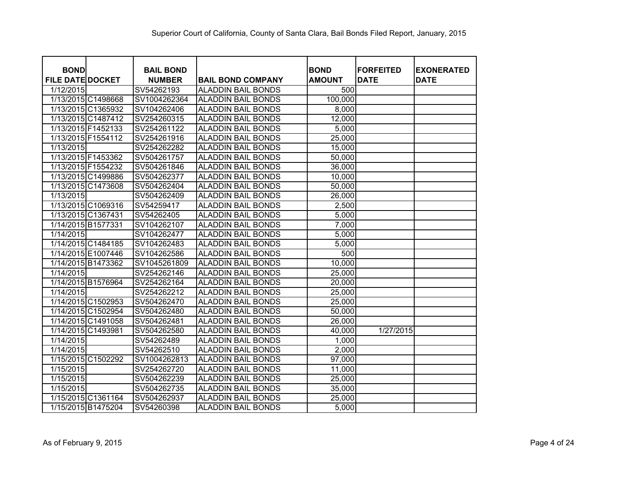| <b>BOND</b>             |                    | <b>BAIL BOND</b> |                           | <b>BOND</b>   | <b>FORFEITED</b> | <b>EXONERATED</b> |
|-------------------------|--------------------|------------------|---------------------------|---------------|------------------|-------------------|
| <b>FILE DATE DOCKET</b> |                    | <b>NUMBER</b>    | <b>BAIL BOND COMPANY</b>  | <b>AMOUNT</b> | <b>DATE</b>      | <b>DATE</b>       |
| 1/12/2015               |                    | SV54262193       | <b>ALADDIN BAIL BONDS</b> | 500           |                  |                   |
|                         | 1/13/2015 C1498668 | SV1004262364     | <b>ALADDIN BAIL BONDS</b> | 100,000       |                  |                   |
|                         | 1/13/2015 C1365932 | SV104262406      | <b>ALADDIN BAIL BONDS</b> | 8,000         |                  |                   |
|                         | 1/13/2015 C1487412 | SV254260315      | <b>ALADDIN BAIL BONDS</b> | 12,000        |                  |                   |
|                         | 1/13/2015 F1452133 | SV254261122      | <b>ALADDIN BAIL BONDS</b> | 5,000         |                  |                   |
|                         | 1/13/2015 F1554112 | SV254261916      | <b>ALADDIN BAIL BONDS</b> | 25,000        |                  |                   |
| 1/13/2015               |                    | SV254262282      | <b>ALADDIN BAIL BONDS</b> | 15,000        |                  |                   |
|                         | 1/13/2015 F1453362 | SV504261757      | <b>ALADDIN BAIL BONDS</b> | 50,000        |                  |                   |
|                         | 1/13/2015 F1554232 | SV504261846      | <b>ALADDIN BAIL BONDS</b> | 36,000        |                  |                   |
|                         | 1/13/2015 C1499886 | SV504262377      | <b>ALADDIN BAIL BONDS</b> | 10,000        |                  |                   |
|                         | 1/13/2015 C1473608 | SV504262404      | <b>ALADDIN BAIL BONDS</b> | 50,000        |                  |                   |
| 1/13/2015               |                    | SV504262409      | <b>ALADDIN BAIL BONDS</b> | 26,000        |                  |                   |
|                         | 1/13/2015 C1069316 | SV54259417       | <b>ALADDIN BAIL BONDS</b> | 2,500         |                  |                   |
|                         | 1/13/2015 C1367431 | SV54262405       | <b>ALADDIN BAIL BONDS</b> | 5,000         |                  |                   |
|                         | 1/14/2015 B1577331 | SV104262107      | <b>ALADDIN BAIL BONDS</b> | 7,000         |                  |                   |
| 1/14/2015               |                    | SV104262477      | <b>ALADDIN BAIL BONDS</b> | 5,000         |                  |                   |
|                         | 1/14/2015 C1484185 | SV104262483      | <b>ALADDIN BAIL BONDS</b> | 5,000         |                  |                   |
|                         | 1/14/2015 E1007446 | SV104262586      | <b>ALADDIN BAIL BONDS</b> | 500           |                  |                   |
|                         | 1/14/2015 B1473362 | SV1045261809     | <b>ALADDIN BAIL BONDS</b> | 10,000        |                  |                   |
| 1/14/2015               |                    | SV254262146      | <b>ALADDIN BAIL BONDS</b> | 25,000        |                  |                   |
|                         | 1/14/2015 B1576964 | SV254262164      | <b>ALADDIN BAIL BONDS</b> | 20,000        |                  |                   |
| 1/14/2015               |                    | SV254262212      | <b>ALADDIN BAIL BONDS</b> | 25,000        |                  |                   |
|                         | 1/14/2015 C1502953 | SV504262470      | <b>ALADDIN BAIL BONDS</b> | 25,000        |                  |                   |
|                         | 1/14/2015 C1502954 | SV504262480      | <b>ALADDIN BAIL BONDS</b> | 50,000        |                  |                   |
|                         | 1/14/2015 C1491058 | SV504262481      | <b>ALADDIN BAIL BONDS</b> | 26,000        |                  |                   |
|                         | 1/14/2015 C1493981 | SV504262580      | <b>ALADDIN BAIL BONDS</b> | 40,000        | 1/27/2015        |                   |
| 1/14/2015               |                    | SV54262489       | <b>ALADDIN BAIL BONDS</b> | 1,000         |                  |                   |
| 1/14/2015               |                    | SV54262510       | <b>ALADDIN BAIL BONDS</b> | 2,000         |                  |                   |
|                         | 1/15/2015 C1502292 | SV1004262813     | <b>ALADDIN BAIL BONDS</b> | 97,000        |                  |                   |
| 1/15/2015               |                    | SV254262720      | <b>ALADDIN BAIL BONDS</b> | 11,000        |                  |                   |
| 1/15/2015               |                    | SV504262239      | <b>ALADDIN BAIL BONDS</b> | 25,000        |                  |                   |
| 1/15/2015               |                    | SV504262735      | <b>ALADDIN BAIL BONDS</b> | 35,000        |                  |                   |
|                         | 1/15/2015 C1361164 | SV504262937      | <b>ALADDIN BAIL BONDS</b> | 25,000        |                  |                   |
|                         | 1/15/2015 B1475204 | SV54260398       | <b>ALADDIN BAIL BONDS</b> | 5,000         |                  |                   |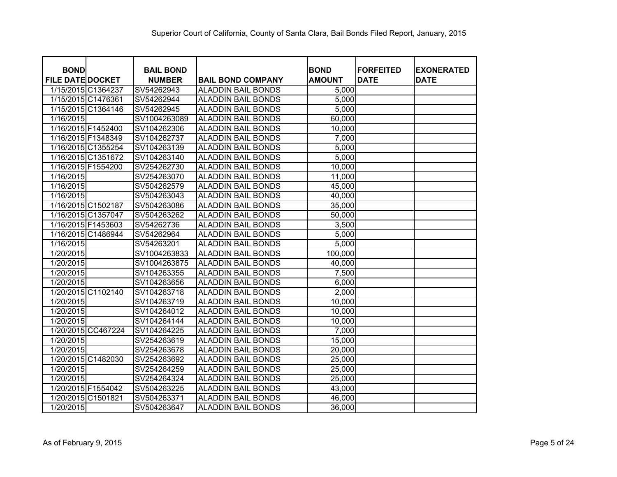| <b>BOND</b><br><b>FILE DATE DOCKET</b> | <b>BAIL BOND</b>            |                                                       | <b>BOND</b>    | <b>FORFEITED</b><br><b>DATE</b> | <b>EXONERATED</b><br><b>DATE</b> |
|----------------------------------------|-----------------------------|-------------------------------------------------------|----------------|---------------------------------|----------------------------------|
| 1/15/2015 C1364237                     | <b>NUMBER</b><br>SV54262943 | <b>BAIL BOND COMPANY</b><br><b>ALADDIN BAIL BONDS</b> | <b>AMOUNT</b>  |                                 |                                  |
| 1/15/2015 C1476361                     | SV54262944                  | <b>ALADDIN BAIL BONDS</b>                             | 5,000<br>5,000 |                                 |                                  |
| 1/15/2015 C1364146                     | SV54262945                  | <b>ALADDIN BAIL BONDS</b>                             | 5,000          |                                 |                                  |
| 1/16/2015                              | SV1004263089                | <b>ALADDIN BAIL BONDS</b>                             | 60,000         |                                 |                                  |
| 1/16/2015 F1452400                     | SV104262306                 | <b>ALADDIN BAIL BONDS</b>                             |                |                                 |                                  |
| 1/16/2015 F1348349                     |                             | <b>ALADDIN BAIL BONDS</b>                             | 10,000         |                                 |                                  |
|                                        | SV104262737                 | <b>ALADDIN BAIL BONDS</b>                             | 7,000          |                                 |                                  |
| 1/16/2015 C1355254                     | SV104263139                 |                                                       | 5,000          |                                 |                                  |
| 1/16/2015 C1351672                     | SV104263140                 | <b>ALADDIN BAIL BONDS</b>                             | 5,000          |                                 |                                  |
| 1/16/2015 F1554200                     | SV254262730                 | <b>ALADDIN BAIL BONDS</b>                             | 10,000         |                                 |                                  |
| 1/16/2015                              | SV254263070                 | <b>ALADDIN BAIL BONDS</b>                             | 11,000         |                                 |                                  |
| 1/16/2015                              | SV504262579                 | <b>ALADDIN BAIL BONDS</b>                             | 45,000         |                                 |                                  |
| 1/16/2015                              | SV504263043                 | <b>ALADDIN BAIL BONDS</b>                             | 40,000         |                                 |                                  |
| 1/16/2015 C1502187                     | SV504263086                 | <b>ALADDIN BAIL BONDS</b>                             | 35,000         |                                 |                                  |
| 1/16/2015 C1357047                     | SV504263262                 | <b>ALADDIN BAIL BONDS</b>                             | 50,000         |                                 |                                  |
| 1/16/2015 F1453603                     | SV54262736                  | <b>ALADDIN BAIL BONDS</b>                             | 3,500          |                                 |                                  |
| 1/16/2015 C1486944                     | SV54262964                  | <b>ALADDIN BAIL BONDS</b>                             | 5,000          |                                 |                                  |
| 1/16/2015                              | SV54263201                  | <b>ALADDIN BAIL BONDS</b>                             | 5,000          |                                 |                                  |
| 1/20/2015                              | SV1004263833                | <b>ALADDIN BAIL BONDS</b>                             | 100,000        |                                 |                                  |
| 1/20/2015                              | SV1004263875                | <b>ALADDIN BAIL BONDS</b>                             | 40,000         |                                 |                                  |
| 1/20/2015                              | SV104263355                 | <b>ALADDIN BAIL BONDS</b>                             | 7,500          |                                 |                                  |
| 1/20/2015                              | SV104263656                 | <b>ALADDIN BAIL BONDS</b>                             | 6,000          |                                 |                                  |
| 1/20/2015 C1102140                     | SV104263718                 | <b>ALADDIN BAIL BONDS</b>                             | 2,000          |                                 |                                  |
| 1/20/2015                              | SV104263719                 | <b>ALADDIN BAIL BONDS</b>                             | 10,000         |                                 |                                  |
| 1/20/2015                              | SV104264012                 | <b>ALADDIN BAIL BONDS</b>                             | 10,000         |                                 |                                  |
| 1/20/2015                              | SV104264144                 | <b>ALADDIN BAIL BONDS</b>                             | 10,000         |                                 |                                  |
| 1/20/2015 CC467224                     | SV104264225                 | <b>ALADDIN BAIL BONDS</b>                             | 7,000          |                                 |                                  |
| 1/20/2015                              | SV254263619                 | <b>ALADDIN BAIL BONDS</b>                             | 15,000         |                                 |                                  |
| 1/20/2015                              | SV254263678                 | <b>ALADDIN BAIL BONDS</b>                             | 20,000         |                                 |                                  |
| 1/20/2015 C1482030                     | SV254263692                 | <b>ALADDIN BAIL BONDS</b>                             | 25,000         |                                 |                                  |
| $\sqrt{1/20/2015}$                     | SV254264259                 | <b>ALADDIN BAIL BONDS</b>                             | 25,000         |                                 |                                  |
| 1/20/2015                              | SV254264324                 | <b>ALADDIN BAIL BONDS</b>                             | 25,000         |                                 |                                  |
| 1/20/2015 F1554042                     | SV504263225                 | <b>ALADDIN BAIL BONDS</b>                             | 43,000         |                                 |                                  |
| 1/20/2015 C1501821                     | SV504263371                 | <b>ALADDIN BAIL BONDS</b>                             | 46,000         |                                 |                                  |
| 1/20/2015                              | SV504263647                 | <b>ALADDIN BAIL BONDS</b>                             | 36,000         |                                 |                                  |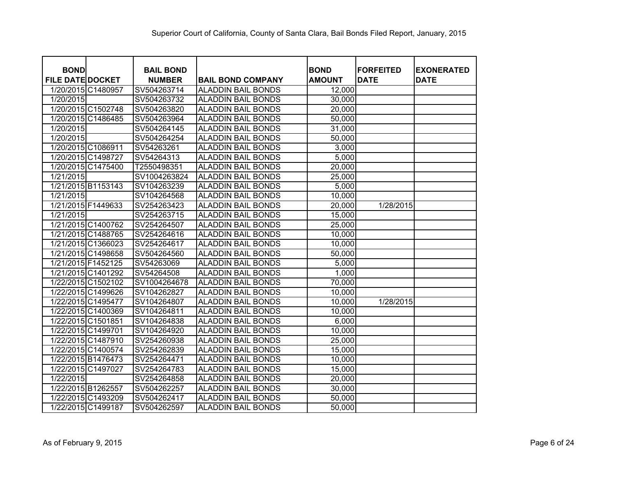| <b>BOND</b>             | <b>BAIL BOND</b> |                           | <b>BOND</b>   | <b>FORFEITED</b> | <b>EXONERATED</b> |
|-------------------------|------------------|---------------------------|---------------|------------------|-------------------|
| <b>FILE DATE DOCKET</b> | <b>NUMBER</b>    | <b>BAIL BOND COMPANY</b>  | <b>AMOUNT</b> | <b>DATE</b>      | <b>DATE</b>       |
| 1/20/2015 C1480957      | SV504263714      | <b>ALADDIN BAIL BONDS</b> | 12,000        |                  |                   |
| 1/20/2015               | SV504263732      | <b>ALADDIN BAIL BONDS</b> | 30,000        |                  |                   |
| 1/20/2015 C1502748      | SV504263820      | <b>ALADDIN BAIL BONDS</b> | 20,000        |                  |                   |
| 1/20/2015 C1486485      | SV504263964      | <b>ALADDIN BAIL BONDS</b> | 50,000        |                  |                   |
| 1/20/2015               | SV504264145      | <b>ALADDIN BAIL BONDS</b> | 31,000        |                  |                   |
| 1/20/2015               | SV504264254      | <b>ALADDIN BAIL BONDS</b> | 50,000        |                  |                   |
| 1/20/2015 C1086911      | SV54263261       | <b>ALADDIN BAIL BONDS</b> | 3,000         |                  |                   |
| 1/20/2015 C1498727      | SV54264313       | <b>ALADDIN BAIL BONDS</b> | 5,000         |                  |                   |
| 1/20/2015 C1475400      | T2550498351      | <b>ALADDIN BAIL BONDS</b> | 20,000        |                  |                   |
| 1/21/2015               | SV1004263824     | <b>ALADDIN BAIL BONDS</b> | 25,000        |                  |                   |
| 1/21/2015 B1153143      | SV104263239      | <b>ALADDIN BAIL BONDS</b> | 5,000         |                  |                   |
| 1/21/2015               | SV104264568      | <b>ALADDIN BAIL BONDS</b> | 10,000        |                  |                   |
| 1/21/2015 F1449633      | SV254263423      | <b>ALADDIN BAIL BONDS</b> | 20,000        | 1/28/2015        |                   |
| 1/21/2015               | SV254263715      | <b>ALADDIN BAIL BONDS</b> | 15,000        |                  |                   |
| 1/21/2015 C1400762      | SV254264507      | <b>ALADDIN BAIL BONDS</b> | 25,000        |                  |                   |
| 1/21/2015 C1488765      | SV254264616      | <b>ALADDIN BAIL BONDS</b> | 10,000        |                  |                   |
| 1/21/2015 C1366023      | SV254264617      | <b>ALADDIN BAIL BONDS</b> | 10,000        |                  |                   |
| 1/21/2015 C1498658      | SV504264560      | <b>ALADDIN BAIL BONDS</b> | 50,000        |                  |                   |
| 1/21/2015 F1452125      | SV54263069       | <b>ALADDIN BAIL BONDS</b> | 5,000         |                  |                   |
| 1/21/2015 C1401292      | SV54264508       | <b>ALADDIN BAIL BONDS</b> | 1,000         |                  |                   |
| 1/22/2015 C1502102      | SV1004264678     | <b>ALADDIN BAIL BONDS</b> | 70,000        |                  |                   |
| 1/22/2015 C1499626      | SV104262827      | <b>ALADDIN BAIL BONDS</b> | 10,000        |                  |                   |
| 1/22/2015 C1495477      | SV104264807      | <b>ALADDIN BAIL BONDS</b> | 10,000        | 1/28/2015        |                   |
| 1/22/2015 C1400369      | SV104264811      | <b>ALADDIN BAIL BONDS</b> | 10,000        |                  |                   |
| 1/22/2015 C1501851      | SV104264838      | <b>ALADDIN BAIL BONDS</b> | 6,000         |                  |                   |
| 1/22/2015 C1499701      | SV104264920      | <b>ALADDIN BAIL BONDS</b> | 10,000        |                  |                   |
| 1/22/2015 C1487910      | SV254260938      | <b>ALADDIN BAIL BONDS</b> | 25,000        |                  |                   |
| 1/22/2015 C1400574      | SV254262839      | <b>ALADDIN BAIL BONDS</b> | 15,000        |                  |                   |
| 1/22/2015 B1476473      | SV254264471      | <b>ALADDIN BAIL BONDS</b> | 10,000        |                  |                   |
| 1/22/2015 C1497027      | SV254264783      | <b>ALADDIN BAIL BONDS</b> | 15,000        |                  |                   |
| 1/22/2015               | SV254264858      | <b>ALADDIN BAIL BONDS</b> | 20,000        |                  |                   |
| 1/22/2015 B1262557      | SV504262257      | <b>ALADDIN BAIL BONDS</b> | 30,000        |                  |                   |
| 1/22/2015 C1493209      | SV504262417      | <b>ALADDIN BAIL BONDS</b> | 50,000        |                  |                   |
| 1/22/2015 C1499187      | SV504262597      | <b>ALADDIN BAIL BONDS</b> | 50,000        |                  |                   |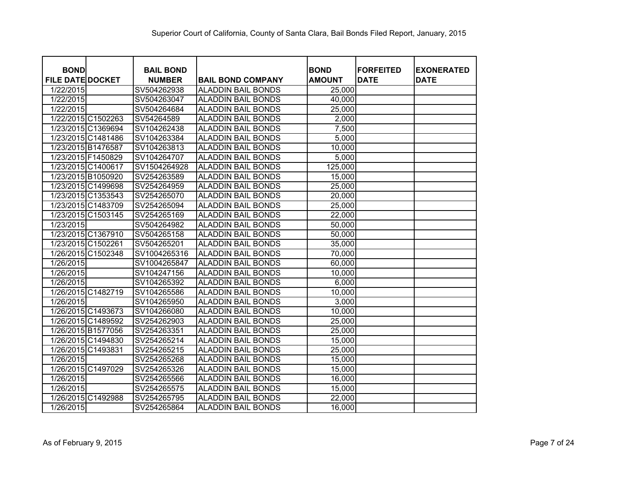|                                        | <b>BAIL BOND</b> |                           | <b>BOND</b>   | <b>FORFEITED</b> |                                  |
|----------------------------------------|------------------|---------------------------|---------------|------------------|----------------------------------|
| <b>BOND</b><br><b>FILE DATE DOCKET</b> | <b>NUMBER</b>    | <b>BAIL BOND COMPANY</b>  | <b>AMOUNT</b> | <b>DATE</b>      | <b>EXONERATED</b><br><b>DATE</b> |
| 1/22/2015                              | SV504262938      | <b>ALADDIN BAIL BONDS</b> | 25,000        |                  |                                  |
| 1/22/2015                              | SV504263047      | <b>ALADDIN BAIL BONDS</b> | 40,000        |                  |                                  |
| 1/22/2015                              | SV504264684      | <b>ALADDIN BAIL BONDS</b> | 25,000        |                  |                                  |
| 1/22/2015 C1502263                     | SV54264589       | <b>ALADDIN BAIL BONDS</b> | 2,000         |                  |                                  |
| 1/23/2015 C1369694                     | SV104262438      | <b>ALADDIN BAIL BONDS</b> | 7,500         |                  |                                  |
| 1/23/2015 C1481486                     | SV104263384      | <b>ALADDIN BAIL BONDS</b> | 5,000         |                  |                                  |
| 1/23/2015 B1476587                     | SV104263813      | <b>ALADDIN BAIL BONDS</b> | 10,000        |                  |                                  |
| 1/23/2015 F1450829                     | SV104264707      | <b>ALADDIN BAIL BONDS</b> | 5,000         |                  |                                  |
| 1/23/2015 C1400617                     | SV1504264928     | <b>ALADDIN BAIL BONDS</b> | 125,000       |                  |                                  |
| 1/23/2015 B1050920                     | SV254263589      | <b>ALADDIN BAIL BONDS</b> | 15,000        |                  |                                  |
| 1/23/2015 C1499698                     | SV254264959      | <b>ALADDIN BAIL BONDS</b> | 25,000        |                  |                                  |
| 1/23/2015 C1353543                     | SV254265070      | <b>ALADDIN BAIL BONDS</b> | 20,000        |                  |                                  |
| 1/23/2015 C1483709                     | SV254265094      | <b>ALADDIN BAIL BONDS</b> | 25,000        |                  |                                  |
| 1/23/2015 C1503145                     | SV254265169      | <b>ALADDIN BAIL BONDS</b> | 22,000        |                  |                                  |
| 1/23/2015                              | SV504264982      | <b>ALADDIN BAIL BONDS</b> | 50,000        |                  |                                  |
| 1/23/2015 C1367910                     | SV504265158      | <b>ALADDIN BAIL BONDS</b> | 50,000        |                  |                                  |
| 1/23/2015 C1502261                     | SV504265201      | <b>ALADDIN BAIL BONDS</b> | 35,000        |                  |                                  |
| 1/26/2015 C1502348                     | SV1004265316     | <b>ALADDIN BAIL BONDS</b> | 70,000        |                  |                                  |
| 1/26/2015                              | SV1004265847     | <b>ALADDIN BAIL BONDS</b> | 60,000        |                  |                                  |
| 1/26/2015                              | SV104247156      | <b>ALADDIN BAIL BONDS</b> | 10,000        |                  |                                  |
| 1/26/2015                              | SV104265392      | <b>ALADDIN BAIL BONDS</b> | 6,000         |                  |                                  |
| 1/26/2015 C1482719                     | SV104265586      | <b>ALADDIN BAIL BONDS</b> | 10,000        |                  |                                  |
| 1/26/2015                              | SV104265950      | <b>ALADDIN BAIL BONDS</b> | 3,000         |                  |                                  |
| 1/26/2015 C1493673                     | SV104266080      | <b>ALADDIN BAIL BONDS</b> | 10,000        |                  |                                  |
| 1/26/2015 C1489592                     | SV254262903      | <b>ALADDIN BAIL BONDS</b> | 25,000        |                  |                                  |
| 1/26/2015 B1577056                     | SV254263351      | <b>ALADDIN BAIL BONDS</b> | 25,000        |                  |                                  |
| 1/26/2015 C1494830                     | SV254265214      | <b>ALADDIN BAIL BONDS</b> | 15,000        |                  |                                  |
| 1/26/2015 C1493831                     | SV254265215      | <b>ALADDIN BAIL BONDS</b> | 25,000        |                  |                                  |
| 1/26/2015                              | SV254265268      | <b>ALADDIN BAIL BONDS</b> | 15,000        |                  |                                  |
| 1/26/2015 C1497029                     | SV254265326      | <b>ALADDIN BAIL BONDS</b> | 15,000        |                  |                                  |
| 1/26/2015                              | SV254265566      | <b>ALADDIN BAIL BONDS</b> | 16,000        |                  |                                  |
| 1/26/2015                              | SV254265575      | <b>ALADDIN BAIL BONDS</b> | 15,000        |                  |                                  |
| 1/26/2015 C1492988                     | SV254265795      | <b>ALADDIN BAIL BONDS</b> | 22,000        |                  |                                  |
| 1/26/2015                              | SV254265864      | <b>ALADDIN BAIL BONDS</b> | 16,000        |                  |                                  |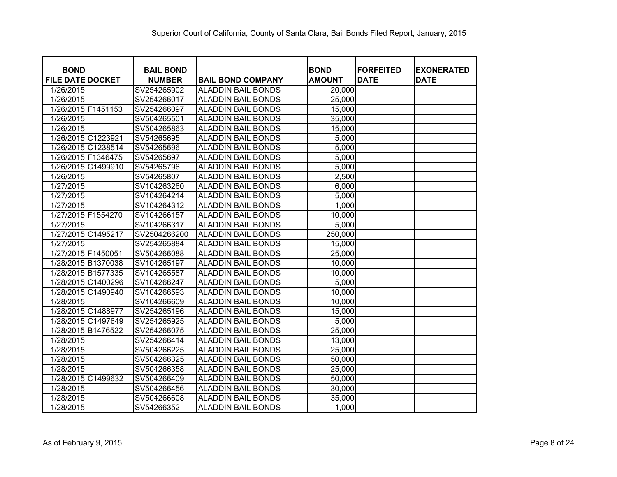|                                        | <b>BAIL BOND</b> |                           | <b>BOND</b>   | <b>FORFEITED</b> | <b>EXONERATED</b> |
|----------------------------------------|------------------|---------------------------|---------------|------------------|-------------------|
| <b>BOND</b><br><b>FILE DATE DOCKET</b> | <b>NUMBER</b>    | <b>BAIL BOND COMPANY</b>  | <b>AMOUNT</b> | <b>DATE</b>      | <b>DATE</b>       |
| 1/26/2015                              | SV254265902      | <b>ALADDIN BAIL BONDS</b> | 20,000        |                  |                   |
| 1/26/2015                              | SV254266017      | <b>ALADDIN BAIL BONDS</b> | 25,000        |                  |                   |
| 1/26/2015 F1451153                     | SV254266097      | <b>ALADDIN BAIL BONDS</b> | 15,000        |                  |                   |
| 1/26/2015                              | SV504265501      | <b>ALADDIN BAIL BONDS</b> | 35,000        |                  |                   |
| 1/26/2015                              | SV504265863      | <b>ALADDIN BAIL BONDS</b> | 15,000        |                  |                   |
| 1/26/2015 C1223921                     | SV54265695       | <b>ALADDIN BAIL BONDS</b> | 5,000         |                  |                   |
| 1/26/2015 C1238514                     | SV54265696       | <b>ALADDIN BAIL BONDS</b> | 5,000         |                  |                   |
| 1/26/2015 F1346475                     | SV54265697       | <b>ALADDIN BAIL BONDS</b> | 5,000         |                  |                   |
| 1/26/2015 C1499910                     | SV54265796       | <b>ALADDIN BAIL BONDS</b> | 5,000         |                  |                   |
| 1/26/2015                              | SV54265807       | <b>ALADDIN BAIL BONDS</b> | 2,500         |                  |                   |
| 1/27/2015                              | SV104263260      | <b>ALADDIN BAIL BONDS</b> | 6,000         |                  |                   |
| 1/27/2015                              | SV104264214      | <b>ALADDIN BAIL BONDS</b> | 5,000         |                  |                   |
| 1/27/2015                              | SV104264312      | <b>ALADDIN BAIL BONDS</b> | 1,000         |                  |                   |
| 1/27/2015 F1554270                     | SV104266157      | <b>ALADDIN BAIL BONDS</b> | 10,000        |                  |                   |
| 1/27/2015                              | SV104266317      | <b>ALADDIN BAIL BONDS</b> | 5,000         |                  |                   |
| 1/27/2015 C1495217                     | SV2504266200     | <b>ALADDIN BAIL BONDS</b> | 250,000       |                  |                   |
| 1/27/2015                              | SV254265884      | <b>ALADDIN BAIL BONDS</b> | 15,000        |                  |                   |
| 1/27/2015 F1450051                     | SV504266088      | <b>ALADDIN BAIL BONDS</b> | 25,000        |                  |                   |
| 1/28/2015 B1370038                     | SV104265197      | <b>ALADDIN BAIL BONDS</b> | 10,000        |                  |                   |
| 1/28/2015 B1577335                     | SV104265587      | <b>ALADDIN BAIL BONDS</b> | 10,000        |                  |                   |
| 1/28/2015 C1400296                     | SV104266247      | <b>ALADDIN BAIL BONDS</b> | 5,000         |                  |                   |
| 1/28/2015 C1490940                     | SV104266593      | <b>ALADDIN BAIL BONDS</b> | 10,000        |                  |                   |
| 1/28/2015                              | SV104266609      | <b>ALADDIN BAIL BONDS</b> | 10,000        |                  |                   |
| 1/28/2015 C1488977                     | SV254265196      | <b>ALADDIN BAIL BONDS</b> | 15,000        |                  |                   |
| 1/28/2015 C1497649                     | SV254265925      | <b>ALADDIN BAIL BONDS</b> | 5,000         |                  |                   |
| 1/28/2015 B1476522                     | SV254266075      | <b>ALADDIN BAIL BONDS</b> | 25,000        |                  |                   |
| 1/28/2015                              | SV254266414      | <b>ALADDIN BAIL BONDS</b> | 13,000        |                  |                   |
| 1/28/2015                              | SV504266225      | <b>ALADDIN BAIL BONDS</b> | 25,000        |                  |                   |
| 1/28/2015                              | SV504266325      | <b>ALADDIN BAIL BONDS</b> | 50,000        |                  |                   |
| 1/28/2015                              | SV504266358      | <b>ALADDIN BAIL BONDS</b> | 25,000        |                  |                   |
| 1/28/2015 C1499632                     | SV504266409      | <b>ALADDIN BAIL BONDS</b> | 50,000        |                  |                   |
| 1/28/2015                              | SV504266456      | <b>ALADDIN BAIL BONDS</b> | 30,000        |                  |                   |
| 1/28/2015                              | SV504266608      | <b>ALADDIN BAIL BONDS</b> | 35,000        |                  |                   |
| 1/28/2015                              | SV54266352       | <b>ALADDIN BAIL BONDS</b> | 1,000         |                  |                   |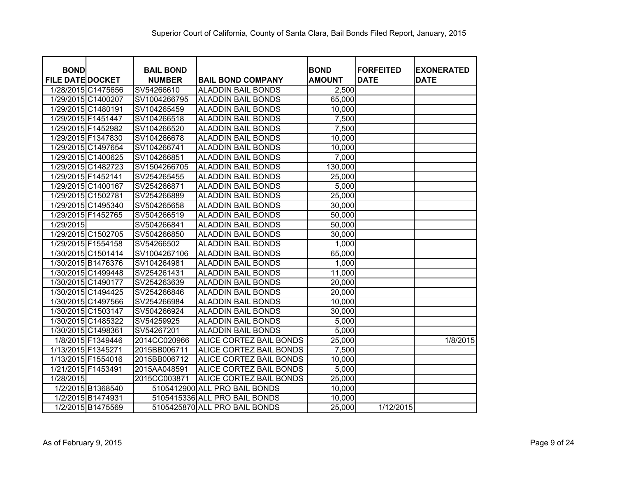| <b>BOND</b>             |                    | <b>BAIL BOND</b> |                                | <b>BOND</b>   | <b>FORFEITED</b> | <b>EXONERATED</b> |
|-------------------------|--------------------|------------------|--------------------------------|---------------|------------------|-------------------|
| <b>FILE DATE DOCKET</b> |                    | <b>NUMBER</b>    | <b>BAIL BOND COMPANY</b>       | <b>AMOUNT</b> | <b>DATE</b>      | <b>DATE</b>       |
|                         | 1/28/2015 C1475656 | SV54266610       | <b>ALADDIN BAIL BONDS</b>      | 2,500         |                  |                   |
| 1/29/2015 C1400207      |                    | SV1004266795     | <b>ALADDIN BAIL BONDS</b>      | 65,000        |                  |                   |
| 1/29/2015 C1480191      |                    | SV104265459      | <b>ALADDIN BAIL BONDS</b>      | 10,000        |                  |                   |
| 1/29/2015 F1451447      |                    | SV104266518      | <b>ALADDIN BAIL BONDS</b>      | 7,500         |                  |                   |
| 1/29/2015 F1452982      |                    | SV104266520      | <b>ALADDIN BAIL BONDS</b>      | 7,500         |                  |                   |
| 1/29/2015 F1347830      |                    | SV104266678      | <b>ALADDIN BAIL BONDS</b>      | 10,000        |                  |                   |
|                         | 1/29/2015 C1497654 | SV104266741      | <b>ALADDIN BAIL BONDS</b>      | 10,000        |                  |                   |
|                         | 1/29/2015 C1400625 | SV104266851      | <b>ALADDIN BAIL BONDS</b>      | 7,000         |                  |                   |
| 1/29/2015 C1482723      |                    | SV1504266705     | <b>ALADDIN BAIL BONDS</b>      | 130,000       |                  |                   |
| 1/29/2015 F1452141      |                    | SV254265455      | <b>ALADDIN BAIL BONDS</b>      | 25,000        |                  |                   |
| 1/29/2015 C1400167      |                    | SV254266871      | <b>ALADDIN BAIL BONDS</b>      | 5,000         |                  |                   |
| 1/29/2015 C1502781      |                    | SV254266889      | <b>ALADDIN BAIL BONDS</b>      | 25,000        |                  |                   |
|                         | 1/29/2015 C1495340 | SV504265658      | <b>ALADDIN BAIL BONDS</b>      | 30,000        |                  |                   |
| 1/29/2015 F1452765      |                    | SV504266519      | <b>ALADDIN BAIL BONDS</b>      | 50,000        |                  |                   |
| 1/29/2015               |                    | SV504266841      | <b>ALADDIN BAIL BONDS</b>      | 50,000        |                  |                   |
|                         | 1/29/2015 C1502705 | SV504266850      | <b>ALADDIN BAIL BONDS</b>      | 30,000        |                  |                   |
| 1/29/2015 F1554158      |                    | SV54266502       | <b>ALADDIN BAIL BONDS</b>      | 1,000         |                  |                   |
|                         | 1/30/2015 C1501414 | SV1004267106     | <b>ALADDIN BAIL BONDS</b>      | 65,000        |                  |                   |
|                         | 1/30/2015 B1476376 | SV104264981      | <b>ALADDIN BAIL BONDS</b>      | 1,000         |                  |                   |
|                         | 1/30/2015 C1499448 | SV254261431      | <b>ALADDIN BAIL BONDS</b>      | 11,000        |                  |                   |
| 1/30/2015 C1490177      |                    | SV254263639      | <b>ALADDIN BAIL BONDS</b>      | 20,000        |                  |                   |
|                         | 1/30/2015 C1494425 | SV254266846      | <b>ALADDIN BAIL BONDS</b>      | 20,000        |                  |                   |
|                         | 1/30/2015 C1497566 | SV254266984      | <b>ALADDIN BAIL BONDS</b>      | 10,000        |                  |                   |
|                         | 1/30/2015 C1503147 | SV504266924      | <b>ALADDIN BAIL BONDS</b>      | 30,000        |                  |                   |
|                         | 1/30/2015 C1485322 | SV54259925       | <b>ALADDIN BAIL BONDS</b>      | 5,000         |                  |                   |
| 1/30/2015 C1498361      |                    | SV54267201       | <b>ALADDIN BAIL BONDS</b>      | 5,000         |                  |                   |
|                         | 1/8/2015 F1349446  | 2014CC020966     | ALICE CORTEZ BAIL BONDS        | 25,000        |                  | 1/8/2015          |
| 1/13/2015 F1345271      |                    | 2015BB006711     | ALICE CORTEZ BAIL BONDS        | 7,500         |                  |                   |
| 1/13/2015 F1554016      |                    | 2015BB006712     | ALICE CORTEZ BAIL BONDS        | 10,000        |                  |                   |
| 1/21/2015 F1453491      |                    | 2015AA048591     | ALICE CORTEZ BAIL BONDS        | 5,000         |                  |                   |
| 1/28/2015               |                    | 2015CC003871     | <b>ALICE CORTEZ BAIL BONDS</b> | 25,000        |                  |                   |
|                         | 1/2/2015 B1368540  |                  | 5105412900 ALL PRO BAIL BONDS  | 10,000        |                  |                   |
|                         | 1/2/2015 B1474931  |                  | 5105415336 ALL PRO BAIL BONDS  | 10,000        |                  |                   |
|                         | 1/2/2015 B1475569  |                  | 5105425870 ALL PRO BAIL BONDS  | 25,000        | 1/12/2015        |                   |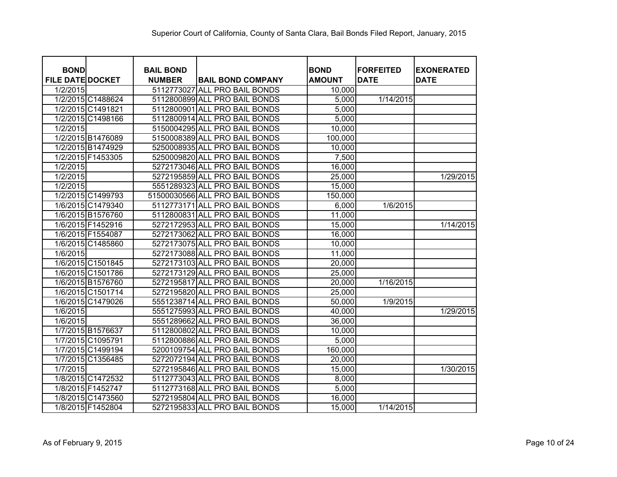| <b>BOND</b>             | <b>BAIL BOND</b> |                                | <b>BOND</b>   | <b>IFORFEITED</b> | <b>EXONERATED</b> |
|-------------------------|------------------|--------------------------------|---------------|-------------------|-------------------|
| <b>FILE DATE DOCKET</b> | <b>NUMBER</b>    | <b>BAIL BOND COMPANY</b>       | <b>AMOUNT</b> | <b>DATE</b>       | <b>DATE</b>       |
| 1/2/2015                | 5112773027       | <b>ALL PRO BAIL BONDS</b>      | 10,000        |                   |                   |
| 1/2/2015 C1488624       |                  | 5112800899 ALL PRO BAIL BONDS  | 5,000         | 1/14/2015         |                   |
| 1/2/2015 C1491821       |                  | 5112800901 ALL PRO BAIL BONDS  | 5,000         |                   |                   |
| 1/2/2015 C1498166       |                  | 5112800914 ALL PRO BAIL BONDS  | 5,000         |                   |                   |
| 1/2/2015                |                  | 5150004295 ALL PRO BAIL BONDS  | 10,000        |                   |                   |
| 1/2/2015 B1476089       |                  | 5150008389 ALL PRO BAIL BONDS  | 100,000       |                   |                   |
| 1/2/2015 B1474929       |                  | 5250008935 ALL PRO BAIL BONDS  | 10,000        |                   |                   |
| 1/2/2015 F1453305       |                  | 5250009820 ALL PRO BAIL BONDS  | 7,500         |                   |                   |
| 1/2/2015                |                  | 5272173046 ALL PRO BAIL BONDS  | 16,000        |                   |                   |
| 1/2/2015                |                  | 5272195859 ALL PRO BAIL BONDS  | 25,000        |                   | 1/29/2015         |
| 1/2/2015                |                  | 5551289323 ALL PRO BAIL BONDS  | 15,000        |                   |                   |
| 1/2/2015 C1499793       |                  | 51500030566 ALL PRO BAIL BONDS | 150,000       |                   |                   |
| 1/6/2015 C1479340       |                  | 5112773171 ALL PRO BAIL BONDS  | 6,000         | 1/6/2015          |                   |
| 1/6/2015 B1576760       |                  | 5112800831 ALL PRO BAIL BONDS  | 11,000        |                   |                   |
| 1/6/2015 F1452916       |                  | 5272172953 ALL PRO BAIL BONDS  | 15,000        |                   | 1/14/2015         |
| 1/6/2015 F1554087       |                  | 5272173062 ALL PRO BAIL BONDS  | 16,000        |                   |                   |
| 1/6/2015 C1485860       |                  | 5272173075 ALL PRO BAIL BONDS  | 10,000        |                   |                   |
| 1/6/2015                |                  | 5272173088 ALL PRO BAIL BONDS  | 11,000        |                   |                   |
| 1/6/2015 C1501845       |                  | 5272173103 ALL PRO BAIL BONDS  | 20,000        |                   |                   |
| 1/6/2015 C1501786       |                  | 5272173129 ALL PRO BAIL BONDS  | 25,000        |                   |                   |
| 1/6/2015 B1576760       |                  | 5272195817 ALL PRO BAIL BONDS  | 20,000        | 1/16/2015         |                   |
| 1/6/2015 C1501714       |                  | 5272195820 ALL PRO BAIL BONDS  | 25,000        |                   |                   |
| 1/6/2015 C1479026       |                  | 5551238714 ALL PRO BAIL BONDS  | 50,000        | 1/9/2015          |                   |
| 1/6/2015                |                  | 5551275993 ALL PRO BAIL BONDS  | 40,000        |                   | 1/29/2015         |
| 1/6/2015                |                  | 5551289662 ALL PRO BAIL BONDS  | 36,000        |                   |                   |
| 1/7/2015 B1576637       |                  | 5112800802 ALL PRO BAIL BONDS  | 10,000        |                   |                   |
| 1/7/2015 C1095791       |                  | 5112800886 ALL PRO BAIL BONDS  | 5,000         |                   |                   |
| 1/7/2015 C1499194       |                  | 5200109754 ALL PRO BAIL BONDS  | 160,000       |                   |                   |
| 1/7/2015 C1356485       |                  | 5272072194 ALL PRO BAIL BONDS  | 20,000        |                   |                   |
| 1/7/2015                |                  | 5272195846 ALL PRO BAIL BONDS  | 15,000        |                   | 1/30/2015         |
| 1/8/2015 C1472532       |                  | 5112773043 ALL PRO BAIL BONDS  | 8,000         |                   |                   |
| 1/8/2015 F1452747       |                  | 5112773168 ALL PRO BAIL BONDS  | 5,000         |                   |                   |
| 1/8/2015 C1473560       |                  | 5272195804 ALL PRO BAIL BONDS  | 16,000        |                   |                   |
| 1/8/2015 F1452804       |                  | 5272195833 ALL PRO BAIL BONDS  | 15,000        | 1/14/2015         |                   |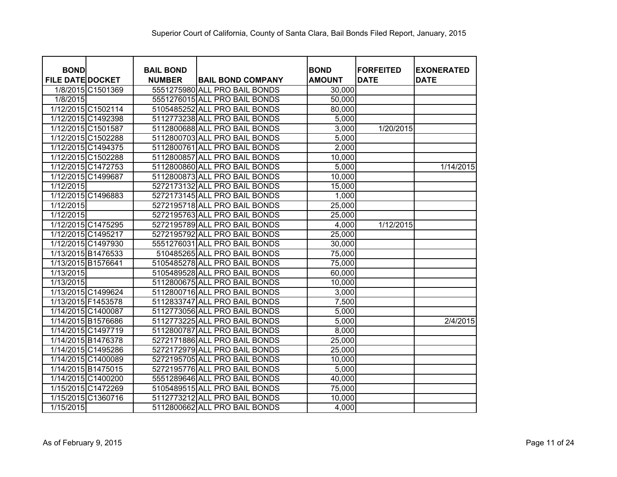| <b>BOND</b>             | <b>BAIL BOND</b> |                               | <b>BOND</b>   | <b>FORFEITED</b> | <b>EXONERATED</b> |
|-------------------------|------------------|-------------------------------|---------------|------------------|-------------------|
| <b>FILE DATE DOCKET</b> | <b>NUMBER</b>    | <b>BAIL BOND COMPANY</b>      | <b>AMOUNT</b> | <b>DATE</b>      | <b>DATE</b>       |
| 1/8/2015 C1501369       |                  | 5551275980 ALL PRO BAIL BONDS | 30,000        |                  |                   |
| 1/8/2015                |                  | 5551276015 ALL PRO BAIL BONDS | 50,000        |                  |                   |
| 1/12/2015 C1502114      |                  | 5105485252 ALL PRO BAIL BONDS | 80,000        |                  |                   |
| 1/12/2015 C1492398      |                  | 5112773238 ALL PRO BAIL BONDS | 5,000         |                  |                   |
| 1/12/2015 C1501587      |                  | 5112800688 ALL PRO BAIL BONDS | 3,000         | 1/20/2015        |                   |
| 1/12/2015 C1502288      |                  | 5112800703 ALL PRO BAIL BONDS | 5,000         |                  |                   |
| 1/12/2015 C1494375      |                  | 5112800761 ALL PRO BAIL BONDS | 2,000         |                  |                   |
| 1/12/2015 C1502288      |                  | 5112800857 ALL PRO BAIL BONDS | 10,000        |                  |                   |
| 1/12/2015 C1472753      |                  | 5112800860 ALL PRO BAIL BONDS | 5,000         |                  | 1/14/2015         |
| 1/12/2015 C1499687      |                  | 5112800873 ALL PRO BAIL BONDS | 10,000        |                  |                   |
| 1/12/2015               |                  | 5272173132 ALL PRO BAIL BONDS | 15,000        |                  |                   |
| 1/12/2015 C1496883      |                  | 5272173145 ALL PRO BAIL BONDS | 1,000         |                  |                   |
| 1/12/2015               |                  | 5272195718 ALL PRO BAIL BONDS | 25,000        |                  |                   |
| 1/12/2015               |                  | 5272195763 ALL PRO BAIL BONDS | 25,000        |                  |                   |
| 1/12/2015 C1475295      |                  | 5272195789 ALL PRO BAIL BONDS | 4,000         | 1/12/2015        |                   |
| 1/12/2015 C1495217      |                  | 5272195792 ALL PRO BAIL BONDS | 25,000        |                  |                   |
| 1/12/2015 C1497930      |                  | 5551276031 ALL PRO BAIL BONDS | 30,000        |                  |                   |
| 1/13/2015 B1476533      |                  | 510485265 ALL PRO BAIL BONDS  | 75,000        |                  |                   |
| 1/13/2015 B1576641      |                  | 5105485278 ALL PRO BAIL BONDS | 75,000        |                  |                   |
| 1/13/2015               |                  | 5105489528 ALL PRO BAIL BONDS | 60,000        |                  |                   |
| 1/13/2015               |                  | 5112800675 ALL PRO BAIL BONDS | 10,000        |                  |                   |
| 1/13/2015 C1499624      |                  | 5112800716 ALL PRO BAIL BONDS | 3,000         |                  |                   |
| 1/13/2015 F1453578      |                  | 5112833747 ALL PRO BAIL BONDS | 7,500         |                  |                   |
| 1/14/2015 C1400087      |                  | 5112773056 ALL PRO BAIL BONDS | 5,000         |                  |                   |
| 1/14/2015 B1576686      |                  | 5112773225 ALL PRO BAIL BONDS | 5,000         |                  | 2/4/2015          |
| 1/14/2015 C1497719      |                  | 5112800787 ALL PRO BAIL BONDS | 8,000         |                  |                   |
| 1/14/2015 B1476378      |                  | 5272171886 ALL PRO BAIL BONDS | 25,000        |                  |                   |
| 1/14/2015 C1495286      |                  | 5272172979 ALL PRO BAIL BONDS | 25,000        |                  |                   |
| 1/14/2015 C1400089      |                  | 5272195705 ALL PRO BAIL BONDS | 10,000        |                  |                   |
| 1/14/2015 B1475015      |                  | 5272195776 ALL PRO BAIL BONDS | 5,000         |                  |                   |
| 1/14/2015 C1400200      |                  | 5551289646 ALL PRO BAIL BONDS | 40,000        |                  |                   |
| 1/15/2015 C1472269      |                  | 5105489515 ALL PRO BAIL BONDS | 75,000        |                  |                   |
| 1/15/2015 C1360716      |                  | 5112773212 ALL PRO BAIL BONDS | 10,000        |                  |                   |
| 1/15/2015               |                  | 5112800662 ALL PRO BAIL BONDS | 4,000         |                  |                   |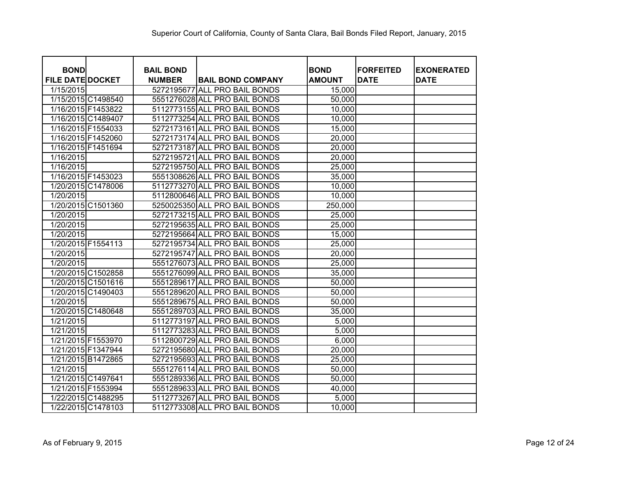| <b>BOND</b><br><b>FILE DATE DOCKET</b> | <b>BAIL BOND</b> | <b>BAIL BOND COMPANY</b>      | <b>BOND</b><br><b>AMOUNT</b> | <b>IFORFEITED</b><br><b>DATE</b> | <b>EXONERATED</b><br><b>DATE</b> |
|----------------------------------------|------------------|-------------------------------|------------------------------|----------------------------------|----------------------------------|
| 1/15/2015                              | <b>NUMBER</b>    | 5272195677 ALL PRO BAIL BONDS | 15,000                       |                                  |                                  |
| 1/15/2015 C1498540                     |                  | 5551276028 ALL PRO BAIL BONDS | 50,000                       |                                  |                                  |
| 1/16/2015 F1453822                     |                  | 5112773155 ALL PRO BAIL BONDS | 10,000                       |                                  |                                  |
| 1/16/2015 C1489407                     |                  | 5112773254 ALL PRO BAIL BONDS | 10,000                       |                                  |                                  |
| 1/16/2015 F1554033                     |                  | 5272173161 ALL PRO BAIL BONDS | 15,000                       |                                  |                                  |
| 1/16/2015 F1452060                     |                  | 5272173174 ALL PRO BAIL BONDS | 20,000                       |                                  |                                  |
| 1/16/2015 F1451694                     |                  |                               |                              |                                  |                                  |
|                                        |                  | 5272173187 ALL PRO BAIL BONDS | 20,000                       |                                  |                                  |
| 1/16/2015                              |                  | 5272195721 ALL PRO BAIL BONDS | 20,000                       |                                  |                                  |
| 1/16/2015                              |                  | 5272195750 ALL PRO BAIL BONDS | 25,000                       |                                  |                                  |
| 1/16/2015 F1453023                     |                  | 5551308626 ALL PRO BAIL BONDS | 35,000                       |                                  |                                  |
| 1/20/2015 C1478006                     |                  | 5112773270 ALL PRO BAIL BONDS | 10,000                       |                                  |                                  |
| 1/20/2015                              |                  | 5112800646 ALL PRO BAIL BONDS | 10,000                       |                                  |                                  |
| 1/20/2015 C1501360                     |                  | 5250025350 ALL PRO BAIL BONDS | 250,000                      |                                  |                                  |
| 1/20/2015                              |                  | 5272173215 ALL PRO BAIL BONDS | 25,000                       |                                  |                                  |
| 1/20/2015                              |                  | 5272195635 ALL PRO BAIL BONDS | 25,000                       |                                  |                                  |
| 1/20/2015                              |                  | 5272195664 ALL PRO BAIL BONDS | 15,000                       |                                  |                                  |
| 1/20/2015 F1554113                     |                  | 5272195734 ALL PRO BAIL BONDS | 25,000                       |                                  |                                  |
| 1/20/2015                              |                  | 5272195747 ALL PRO BAIL BONDS | 20,000                       |                                  |                                  |
| 1/20/2015                              |                  | 5551276073 ALL PRO BAIL BONDS | 25,000                       |                                  |                                  |
| 1/20/2015 C1502858                     |                  | 5551276099 ALL PRO BAIL BONDS | 35,000                       |                                  |                                  |
| 1/20/2015 C1501616                     |                  | 5551289617 ALL PRO BAIL BONDS | 50,000                       |                                  |                                  |
| 1/20/2015 C1490403                     |                  | 5551289620 ALL PRO BAIL BONDS | 50,000                       |                                  |                                  |
| 1/20/2015                              |                  | 5551289675 ALL PRO BAIL BONDS | 50,000                       |                                  |                                  |
| 1/20/2015 C1480648                     |                  | 5551289703 ALL PRO BAIL BONDS | 35,000                       |                                  |                                  |
| 1/21/2015                              |                  | 5112773197 ALL PRO BAIL BONDS | 5,000                        |                                  |                                  |
| 1/21/2015                              |                  | 5112773283 ALL PRO BAIL BONDS | 5,000                        |                                  |                                  |
| 1/21/2015 F1553970                     |                  | 5112800729 ALL PRO BAIL BONDS | 6,000                        |                                  |                                  |
| 1/21/2015 F1347944                     |                  | 5272195680 ALL PRO BAIL BONDS | 20,000                       |                                  |                                  |
| 1/21/2015 B1472865                     |                  | 5272195693 ALL PRO BAIL BONDS | 25,000                       |                                  |                                  |
| 1/21/2015                              |                  | 5551276114 ALL PRO BAIL BONDS | 50,000                       |                                  |                                  |
| 1/21/2015 C1497641                     |                  | 5551289336 ALL PRO BAIL BONDS | 50,000                       |                                  |                                  |
| 1/21/2015 F1553994                     |                  | 5551289633 ALL PRO BAIL BONDS | 40,000                       |                                  |                                  |
| 1/22/2015 C1488295                     |                  | 5112773267 ALL PRO BAIL BONDS | 5,000                        |                                  |                                  |
| 1/22/2015 C1478103                     |                  | 5112773308 ALL PRO BAIL BONDS | 10,000                       |                                  |                                  |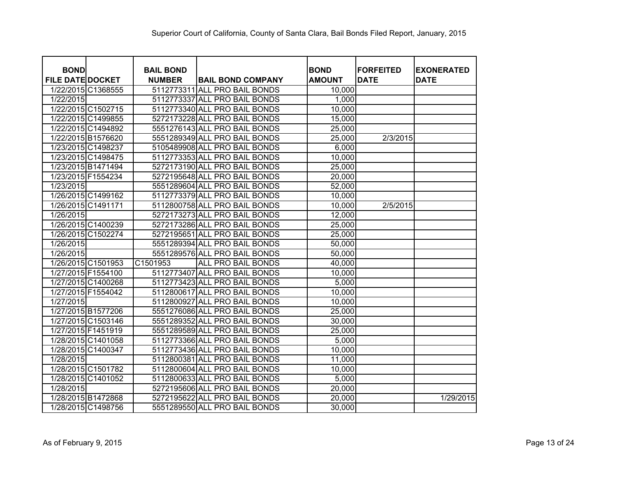| <b>BOND</b>             | <b>BAIL BOND</b> |                               | <b>BOND</b>   | <b>FORFEITED</b> | <b>EXONERATED</b> |
|-------------------------|------------------|-------------------------------|---------------|------------------|-------------------|
| <b>FILE DATE DOCKET</b> | <b>NUMBER</b>    | <b>BAIL BOND COMPANY</b>      | <b>AMOUNT</b> | <b>DATE</b>      | <b>DATE</b>       |
| 1/22/2015 C1368555      |                  | 5112773311 ALL PRO BAIL BONDS | 10,000        |                  |                   |
| 1/22/2015               |                  | 5112773337 ALL PRO BAIL BONDS | 1,000         |                  |                   |
| 1/22/2015 C1502715      |                  | 5112773340 ALL PRO BAIL BONDS | 10,000        |                  |                   |
| 1/22/2015 C1499855      |                  | 5272173228 ALL PRO BAIL BONDS | 15,000        |                  |                   |
| 1/22/2015 C1494892      |                  | 5551276143 ALL PRO BAIL BONDS | 25,000        |                  |                   |
| 1/22/2015 B1576620      |                  | 5551289349 ALL PRO BAIL BONDS | 25,000        | 2/3/2015         |                   |
| 1/23/2015 C1498237      |                  | 5105489908 ALL PRO BAIL BONDS | 6,000         |                  |                   |
| 1/23/2015 C1498475      |                  | 5112773353 ALL PRO BAIL BONDS | 10,000        |                  |                   |
| 1/23/2015 B1471494      |                  | 5272173190 ALL PRO BAIL BONDS | 25,000        |                  |                   |
| 1/23/2015 F1554234      |                  | 5272195648 ALL PRO BAIL BONDS | 20,000        |                  |                   |
| 1/23/2015               |                  | 5551289604 ALL PRO BAIL BONDS | 52,000        |                  |                   |
| 1/26/2015 C1499162      |                  | 5112773379 ALL PRO BAIL BONDS | 10,000        |                  |                   |
| 1/26/2015 C1491171      |                  | 5112800758 ALL PRO BAIL BONDS | 10,000        | 2/5/2015         |                   |
| 1/26/2015               |                  | 5272173273 ALL PRO BAIL BONDS | 12,000        |                  |                   |
| 1/26/2015 C1400239      |                  | 5272173286 ALL PRO BAIL BONDS | 25,000        |                  |                   |
| 1/26/2015 C1502274      |                  | 5272195651 ALL PRO BAIL BONDS | 25,000        |                  |                   |
| 1/26/2015               |                  | 5551289394 ALL PRO BAIL BONDS | 50,000        |                  |                   |
| 1/26/2015               |                  | 5551289576 ALL PRO BAIL BONDS | 50,000        |                  |                   |
| 1/26/2015 C1501953      | C1501953         | ALL PRO BAIL BONDS            | 40,000        |                  |                   |
| 1/27/2015 F1554100      |                  | 5112773407 ALL PRO BAIL BONDS | 10,000        |                  |                   |
| 1/27/2015 C1400268      |                  | 5112773423 ALL PRO BAIL BONDS | 5,000         |                  |                   |
| 1/27/2015 F1554042      |                  | 5112800617 ALL PRO BAIL BONDS | 10,000        |                  |                   |
| 1/27/2015               |                  | 5112800927 ALL PRO BAIL BONDS | 10,000        |                  |                   |
| 1/27/2015 B1577206      |                  | 5551276086 ALL PRO BAIL BONDS | 25,000        |                  |                   |
| 1/27/2015 C1503146      |                  | 5551289352 ALL PRO BAIL BONDS | 30,000        |                  |                   |
| 1/27/2015 F1451919      |                  | 5551289589 ALL PRO BAIL BONDS | 25,000        |                  |                   |
| 1/28/2015 C1401058      |                  | 5112773366 ALL PRO BAIL BONDS | 5,000         |                  |                   |
| 1/28/2015 C1400347      |                  | 5112773436 ALL PRO BAIL BONDS | 10,000        |                  |                   |
| 1/28/2015               |                  | 5112800381 ALL PRO BAIL BONDS | 11,000        |                  |                   |
| 1/28/2015 C1501782      |                  | 5112800604 ALL PRO BAIL BONDS | 10,000        |                  |                   |
| 1/28/2015 C1401052      |                  | 5112800633 ALL PRO BAIL BONDS | 5,000         |                  |                   |
| 1/28/2015               |                  | 5272195606 ALL PRO BAIL BONDS | 20,000        |                  |                   |
| 1/28/2015 B1472868      |                  | 5272195622 ALL PRO BAIL BONDS | 20,000        |                  | 1/29/2015         |
| 1/28/2015 C1498756      |                  | 5551289550 ALL PRO BAIL BONDS | 30,000        |                  |                   |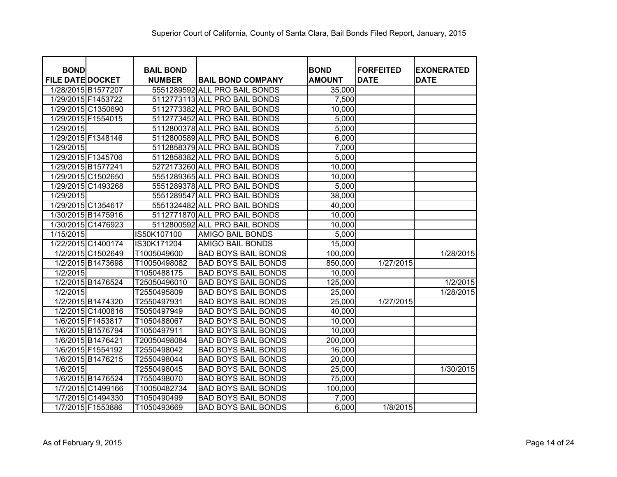| <b>BOND</b>             |                    | <b>BAIL BOND</b> |                               | <b>BOND</b>   | <b>IFORFEITED</b> | <b>EXONERATED</b> |
|-------------------------|--------------------|------------------|-------------------------------|---------------|-------------------|-------------------|
| <b>FILE DATE DOCKET</b> |                    | <b>NUMBER</b>    | <b>BAIL BOND COMPANY</b>      | <b>AMOUNT</b> | <b>DATE</b>       | <b>DATE</b>       |
|                         | 1/28/2015 B1577207 |                  | 5551289592 ALL PRO BAIL BONDS | 35,000        |                   |                   |
|                         | 1/29/2015 F1453722 |                  | 5112773113 ALL PRO BAIL BONDS | 7,500         |                   |                   |
|                         | 1/29/2015 C1350690 |                  | 5112773382 ALL PRO BAIL BONDS | 10,000        |                   |                   |
|                         | 1/29/2015 F1554015 |                  | 5112773452 ALL PRO BAIL BONDS | 5,000         |                   |                   |
| 1/29/2015               |                    |                  | 5112800378 ALL PRO BAIL BONDS | 5,000         |                   |                   |
|                         | 1/29/2015 F1348146 |                  | 5112800589 ALL PRO BAIL BONDS | 6,000         |                   |                   |
| 1/29/2015               |                    |                  | 5112858379 ALL PRO BAIL BONDS | 7,000         |                   |                   |
|                         | 1/29/2015 F1345706 |                  | 5112858382 ALL PRO BAIL BONDS | 5,000         |                   |                   |
|                         | 1/29/2015 B1577241 |                  | 5272173260 ALL PRO BAIL BONDS | 10,000        |                   |                   |
|                         | 1/29/2015 C1502650 |                  | 5551289365 ALL PRO BAIL BONDS | 10,000        |                   |                   |
|                         | 1/29/2015 C1493268 |                  | 5551289378 ALL PRO BAIL BONDS | 5,000         |                   |                   |
| 1/29/2015               |                    |                  | 5551289547 ALL PRO BAIL BONDS | 38,000        |                   |                   |
|                         | 1/29/2015 C1354617 |                  | 5551324482 ALL PRO BAIL BONDS | 40,000        |                   |                   |
|                         | 1/30/2015 B1475916 |                  | 5112771870 ALL PRO BAIL BONDS | 10,000        |                   |                   |
|                         | 1/30/2015 C1476923 |                  | 5112800592 ALL PRO BAIL BONDS | 10,000        |                   |                   |
| 1/15/2015               |                    | IS50K107100      | <b>AMIGO BAIL BONDS</b>       | 5,000         |                   |                   |
|                         | 1/22/2015 C1400174 | IS30K171204      | <b>AMIGO BAIL BONDS</b>       | 15,000        |                   |                   |
|                         | 1/2/2015 C1502649  | T1005049600      | <b>BAD BOYS BAIL BONDS</b>    | 100,000       |                   | 1/28/2015         |
|                         | 1/2/2015 B1473698  | T10050498082     | <b>BAD BOYS BAIL BONDS</b>    | 850,000       | 1/27/2015         |                   |
| 1/2/2015                |                    | T1050488175      | <b>BAD BOYS BAIL BONDS</b>    | 10,000        |                   |                   |
|                         | 1/2/2015 B1476524  | T25050496010     | <b>BAD BOYS BAIL BONDS</b>    | 125,000       |                   | 1/2/2015          |
| 1/2/2015                |                    | T2550495809      | <b>BAD BOYS BAIL BONDS</b>    | 25,000        |                   | 1/28/2015         |
|                         | 1/2/2015 B1474320  | T2550497931      | <b>BAD BOYS BAIL BONDS</b>    | 25,000        | 1/27/2015         |                   |
|                         | 1/2/2015 C1400816  | T5050497949      | <b>BAD BOYS BAIL BONDS</b>    | 40,000        |                   |                   |
|                         | 1/6/2015 F1453817  | T1050488067      | <b>BAD BOYS BAIL BONDS</b>    | 10,000        |                   |                   |
|                         | 1/6/2015 B1576794  | T1050497911      | <b>BAD BOYS BAIL BONDS</b>    | 10,000        |                   |                   |
|                         | 1/6/2015 B1476421  | T20050498084     | <b>BAD BOYS BAIL BONDS</b>    | 200,000       |                   |                   |
|                         | 1/6/2015 F1554192  | T2550498042      | <b>BAD BOYS BAIL BONDS</b>    | 16,000        |                   |                   |
|                         | 1/6/2015 B1476215  | T2550498044      | <b>BAD BOYS BAIL BONDS</b>    | 20,000        |                   |                   |
| 1/6/2015                |                    | T2550498045      | <b>BAD BOYS BAIL BONDS</b>    | 25,000        |                   | 1/30/2015         |
|                         | 1/6/2015 B1476524  | T7550498070      | <b>BAD BOYS BAIL BONDS</b>    | 75,000        |                   |                   |
|                         | 1/7/2015 C1499166  | T10050482734     | <b>BAD BOYS BAIL BONDS</b>    | 100,000       |                   |                   |
|                         | 1/7/2015 C1494330  | T1050490499      | <b>BAD BOYS BAIL BONDS</b>    | 7,000         |                   |                   |
|                         | 1/7/2015 F1553886  | T1050493669      | <b>BAD BOYS BAIL BONDS</b>    | 6,000         | 1/8/2015          |                   |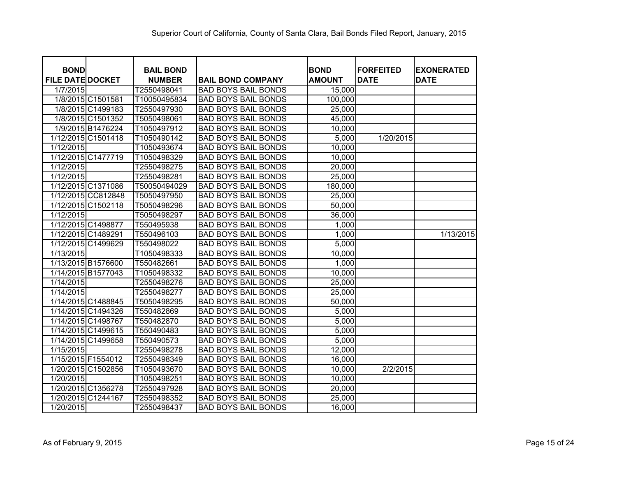| <b>BOND</b>             |                    | <b>BAIL BOND</b> |                            | <b>BOND</b>   | <b>FORFEITED</b> | <b>EXONERATED</b> |
|-------------------------|--------------------|------------------|----------------------------|---------------|------------------|-------------------|
| <b>FILE DATE DOCKET</b> |                    | <b>NUMBER</b>    | <b>BAIL BOND COMPANY</b>   | <b>AMOUNT</b> | <b>DATE</b>      | <b>DATE</b>       |
| 1/7/2015                |                    | T2550498041      | <b>BAD BOYS BAIL BONDS</b> | 15,000        |                  |                   |
|                         | 1/8/2015 C1501581  | T10050495834     | <b>BAD BOYS BAIL BONDS</b> | 100,000       |                  |                   |
|                         | 1/8/2015 C1499183  | T2550497930      | <b>BAD BOYS BAIL BONDS</b> | 25,000        |                  |                   |
|                         | 1/8/2015 C1501352  | T5050498061      | <b>BAD BOYS BAIL BONDS</b> | 45,000        |                  |                   |
|                         | 1/9/2015 B1476224  | T1050497912      | <b>BAD BOYS BAIL BONDS</b> | 10,000        |                  |                   |
|                         | 1/12/2015 C1501418 | T1050490142      | <b>BAD BOYS BAIL BONDS</b> | 5,000         | 1/20/2015        |                   |
| 1/12/2015               |                    | T1050493674      | <b>BAD BOYS BAIL BONDS</b> | 10,000        |                  |                   |
|                         | 1/12/2015 C1477719 | T1050498329      | <b>BAD BOYS BAIL BONDS</b> | 10,000        |                  |                   |
| 1/12/2015               |                    | T2550498275      | <b>BAD BOYS BAIL BONDS</b> | 20,000        |                  |                   |
| 1/12/2015               |                    | T2550498281      | <b>BAD BOYS BAIL BONDS</b> | 25,000        |                  |                   |
|                         | 1/12/2015 C1371086 | T50050494029     | <b>BAD BOYS BAIL BONDS</b> | 180,000       |                  |                   |
|                         | 1/12/2015 CC812848 | T5050497950      | <b>BAD BOYS BAIL BONDS</b> | 25,000        |                  |                   |
|                         | 1/12/2015 C1502118 | T5050498296      | <b>BAD BOYS BAIL BONDS</b> | 50,000        |                  |                   |
| 1/12/2015               |                    | T5050498297      | <b>BAD BOYS BAIL BONDS</b> | 36,000        |                  |                   |
|                         | 1/12/2015 C1498877 | T550495938       | <b>BAD BOYS BAIL BONDS</b> | 1,000         |                  |                   |
|                         | 1/12/2015 C1489291 | T550496103       | <b>BAD BOYS BAIL BONDS</b> | 1,000         |                  | 1/13/2015         |
|                         | 1/12/2015 C1499629 | T550498022       | <b>BAD BOYS BAIL BONDS</b> | 5,000         |                  |                   |
| 1/13/2015               |                    | T1050498333      | <b>BAD BOYS BAIL BONDS</b> | 10,000        |                  |                   |
|                         | 1/13/2015 B1576600 | T550482661       | <b>BAD BOYS BAIL BONDS</b> | 1,000         |                  |                   |
|                         | 1/14/2015 B1577043 | T1050498332      | <b>BAD BOYS BAIL BONDS</b> | 10,000        |                  |                   |
| 1/14/2015               |                    | T2550498276      | <b>BAD BOYS BAIL BONDS</b> | 25,000        |                  |                   |
| 1/14/2015               |                    | T2550498277      | <b>BAD BOYS BAIL BONDS</b> | 25,000        |                  |                   |
|                         | 1/14/2015 C1488845 | T5050498295      | <b>BAD BOYS BAIL BONDS</b> | 50,000        |                  |                   |
|                         | 1/14/2015 C1494326 | T550482869       | <b>BAD BOYS BAIL BONDS</b> | 5,000         |                  |                   |
|                         | 1/14/2015 C1498767 | T550482870       | <b>BAD BOYS BAIL BONDS</b> | 5,000         |                  |                   |
|                         | 1/14/2015 C1499615 | T550490483       | <b>BAD BOYS BAIL BONDS</b> | 5,000         |                  |                   |
|                         | 1/14/2015 C1499658 | T550490573       | <b>BAD BOYS BAIL BONDS</b> | 5,000         |                  |                   |
| 1/15/2015               |                    | T2550498278      | <b>BAD BOYS BAIL BONDS</b> | 12,000        |                  |                   |
| 1/15/2015 F1554012      |                    | T2550498349      | <b>BAD BOYS BAIL BONDS</b> | 16,000        |                  |                   |
|                         | 1/20/2015 C1502856 | T1050493670      | <b>BAD BOYS BAIL BONDS</b> | 10,000        | 2/2/2015         |                   |
| 1/20/2015               |                    | T1050498251      | <b>BAD BOYS BAIL BONDS</b> | 10,000        |                  |                   |
|                         | 1/20/2015 C1356278 | T2550497928      | <b>BAD BOYS BAIL BONDS</b> | 20,000        |                  |                   |
|                         | 1/20/2015 C1244167 | T2550498352      | <b>BAD BOYS BAIL BONDS</b> | 25,000        |                  |                   |
| 1/20/2015               |                    | T2550498437      | <b>BAD BOYS BAIL BONDS</b> | 16,000        |                  |                   |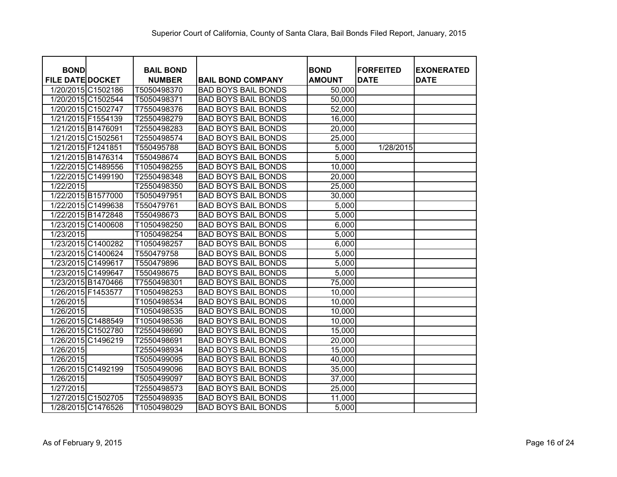| <b>BOND</b>             |                    | <b>BAIL BOND</b> |                            | <b>BOND</b>   | <b>FORFEITED</b> | <b>EXONERATED</b> |
|-------------------------|--------------------|------------------|----------------------------|---------------|------------------|-------------------|
| <b>FILE DATE DOCKET</b> |                    | <b>NUMBER</b>    | <b>BAIL BOND COMPANY</b>   | <b>AMOUNT</b> | <b>DATE</b>      | <b>DATE</b>       |
|                         | 1/20/2015 C1502186 | T5050498370      | <b>BAD BOYS BAIL BONDS</b> | 50,000        |                  |                   |
|                         | 1/20/2015 C1502544 | T5050498371      | <b>BAD BOYS BAIL BONDS</b> | 50,000        |                  |                   |
|                         | 1/20/2015 C1502747 | T7550498376      | <b>BAD BOYS BAIL BONDS</b> | 52,000        |                  |                   |
|                         | 1/21/2015 F1554139 | T2550498279      | <b>BAD BOYS BAIL BONDS</b> | 16,000        |                  |                   |
| 1/21/2015 B1476091      |                    | T2550498283      | <b>BAD BOYS BAIL BONDS</b> | 20,000        |                  |                   |
| 1/21/2015 C1502561      |                    | T2550498574      | <b>BAD BOYS BAIL BONDS</b> | 25,000        |                  |                   |
| 1/21/2015 F1241851      |                    | T550495788       | <b>BAD BOYS BAIL BONDS</b> | 5,000         | 1/28/2015        |                   |
|                         | 1/21/2015 B1476314 | T550498674       | <b>BAD BOYS BAIL BONDS</b> | 5,000         |                  |                   |
|                         | 1/22/2015 C1489556 | T1050498255      | <b>BAD BOYS BAIL BONDS</b> | 10,000        |                  |                   |
|                         | 1/22/2015 C1499190 | T2550498348      | <b>BAD BOYS BAIL BONDS</b> | 20,000        |                  |                   |
| 1/22/2015               |                    | T2550498350      | <b>BAD BOYS BAIL BONDS</b> | 25,000        |                  |                   |
|                         | 1/22/2015 B1577000 | T5050497951      | <b>BAD BOYS BAIL BONDS</b> | 30,000        |                  |                   |
|                         | 1/22/2015 C1499638 | T550479761       | <b>BAD BOYS BAIL BONDS</b> | 5,000         |                  |                   |
|                         | 1/22/2015 B1472848 | T550498673       | <b>BAD BOYS BAIL BONDS</b> | 5,000         |                  |                   |
|                         | 1/23/2015 C1400608 | T1050498250      | <b>BAD BOYS BAIL BONDS</b> | 6,000         |                  |                   |
| 1/23/2015               |                    | T1050498254      | <b>BAD BOYS BAIL BONDS</b> | 5,000         |                  |                   |
|                         | 1/23/2015 C1400282 | T1050498257      | <b>BAD BOYS BAIL BONDS</b> | 6,000         |                  |                   |
|                         | 1/23/2015 C1400624 | T550479758       | <b>BAD BOYS BAIL BONDS</b> | 5,000         |                  |                   |
|                         | 1/23/2015 C1499617 | T550479896       | <b>BAD BOYS BAIL BONDS</b> | 5,000         |                  |                   |
|                         | 1/23/2015 C1499647 | T550498675       | <b>BAD BOYS BAIL BONDS</b> | 5,000         |                  |                   |
|                         | 1/23/2015 B1470466 | T7550498301      | <b>BAD BOYS BAIL BONDS</b> | 75,000        |                  |                   |
|                         | 1/26/2015 F1453577 | T1050498253      | <b>BAD BOYS BAIL BONDS</b> | 10,000        |                  |                   |
| 1/26/2015               |                    | T1050498534      | <b>BAD BOYS BAIL BONDS</b> | 10,000        |                  |                   |
| 1/26/2015               |                    | T1050498535      | <b>BAD BOYS BAIL BONDS</b> | 10,000        |                  |                   |
|                         | 1/26/2015 C1488549 | T1050498536      | <b>BAD BOYS BAIL BONDS</b> | 10,000        |                  |                   |
|                         | 1/26/2015 C1502780 | T2550498690      | <b>BAD BOYS BAIL BONDS</b> | 15,000        |                  |                   |
|                         | 1/26/2015 C1496219 | T2550498691      | <b>BAD BOYS BAIL BONDS</b> | 20,000        |                  |                   |
| 1/26/2015               |                    | T2550498934      | <b>BAD BOYS BAIL BONDS</b> | 15,000        |                  |                   |
| 1/26/2015               |                    | T5050499095      | <b>BAD BOYS BAIL BONDS</b> | 40,000        |                  |                   |
|                         | 1/26/2015 C1492199 | T5050499096      | <b>BAD BOYS BAIL BONDS</b> | 35,000        |                  |                   |
| 1/26/2015               |                    | T5050499097      | <b>BAD BOYS BAIL BONDS</b> | 37,000        |                  |                   |
| 1/27/2015               |                    | T2550498573      | <b>BAD BOYS BAIL BONDS</b> | 25,000        |                  |                   |
|                         | 1/27/2015 C1502705 | T2550498935      | <b>BAD BOYS BAIL BONDS</b> | 11,000        |                  |                   |
|                         | 1/28/2015 C1476526 | T1050498029      | <b>BAD BOYS BAIL BONDS</b> | 5,000         |                  |                   |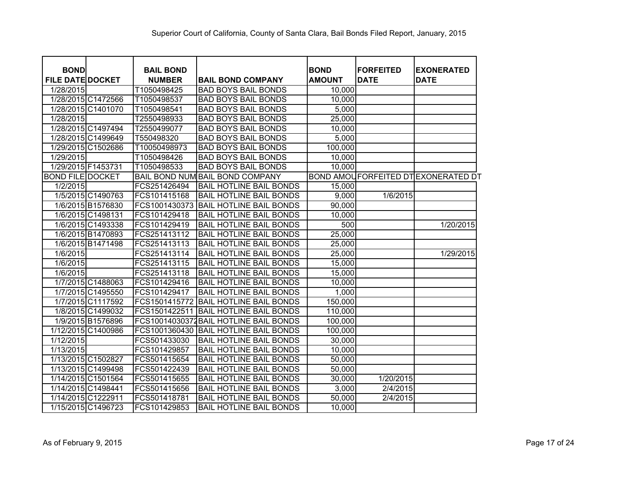| <b>BOND</b>             |                    | <b>BAIL BOND</b> |                                       | <b>BOND</b>   | <b>FORFEITED</b> | <b>EXONERATED</b>                         |
|-------------------------|--------------------|------------------|---------------------------------------|---------------|------------------|-------------------------------------------|
| <b>FILE DATE DOCKET</b> |                    | <b>NUMBER</b>    | <b>BAIL BOND COMPANY</b>              | <b>AMOUNT</b> | <b>DATE</b>      | <b>DATE</b>                               |
| 1/28/2015               |                    | T1050498425      | <b>BAD BOYS BAIL BONDS</b>            | 10,000        |                  |                                           |
|                         | 1/28/2015 C1472566 | T1050498537      | <b>BAD BOYS BAIL BONDS</b>            | 10,000        |                  |                                           |
|                         | 1/28/2015 C1401070 | T1050498541      | <b>BAD BOYS BAIL BONDS</b>            | 5,000         |                  |                                           |
| 1/28/2015               |                    | T2550498933      | <b>BAD BOYS BAIL BONDS</b>            | 25,000        |                  |                                           |
|                         | 1/28/2015 C1497494 | T2550499077      | <b>BAD BOYS BAIL BONDS</b>            | 10,000        |                  |                                           |
|                         | 1/28/2015 C1499649 | T550498320       | <b>BAD BOYS BAIL BONDS</b>            | 5,000         |                  |                                           |
|                         | 1/29/2015 C1502686 | T10050498973     | <b>BAD BOYS BAIL BONDS</b>            | 100,000       |                  |                                           |
| 1/29/2015               |                    | T1050498426      | <b>BAD BOYS BAIL BONDS</b>            | 10,000        |                  |                                           |
|                         | 1/29/2015 F1453731 | T1050498533      | <b>BAD BOYS BAIL BONDS</b>            | 10,000        |                  |                                           |
| <b>BOND FILE DOCKET</b> |                    |                  | BAIL BOND NUM BAIL BOND COMPANY       |               |                  | <b>BOND AMOUFORFEITED DTEXONERATED DT</b> |
| 1/2/2015                |                    | FCS251426494     | <b>BAIL HOTLINE BAIL BONDS</b>        | 15,000        |                  |                                           |
|                         | 1/5/2015 C1490763  | FCS101415168     | <b>BAIL HOTLINE BAIL BONDS</b>        | 9,000         | 1/6/2015         |                                           |
|                         | 1/6/2015 B1576830  | FCS1001430373    | <b>BAIL HOTLINE BAIL BONDS</b>        | 90,000        |                  |                                           |
|                         | 1/6/2015 C1498131  | FCS101429418     | <b>BAIL HOTLINE BAIL BONDS</b>        | 10,000        |                  |                                           |
|                         | 1/6/2015 C1493338  | FCS101429419     | <b>BAIL HOTLINE BAIL BONDS</b>        | 500           |                  | 1/20/2015                                 |
|                         | 1/6/2015 B1470893  | FCS251413112     | <b>BAIL HOTLINE BAIL BONDS</b>        | 25,000        |                  |                                           |
|                         | 1/6/2015 B1471498  | FCS251413113     | <b>BAIL HOTLINE BAIL BONDS</b>        | 25,000        |                  |                                           |
| 1/6/2015                |                    | FCS251413114     | <b>BAIL HOTLINE BAIL BONDS</b>        | 25,000        |                  | 1/29/2015                                 |
| 1/6/2015                |                    | FCS251413115     | <b>BAIL HOTLINE BAIL BONDS</b>        | 15,000        |                  |                                           |
| 1/6/2015                |                    | FCS251413118     | <b>BAIL HOTLINE BAIL BONDS</b>        | 15,000        |                  |                                           |
|                         | 1/7/2015 C1488063  | FCS101429416     | <b>BAIL HOTLINE BAIL BONDS</b>        | 10,000        |                  |                                           |
|                         | 1/7/2015 C1495550  | FCS101429417     | <b>BAIL HOTLINE BAIL BONDS</b>        | 1,000         |                  |                                           |
|                         | 1/7/2015 C1117592  | FCS1501415772    | <b>BAIL HOTLINE BAIL BONDS</b>        | 150,000       |                  |                                           |
|                         | 1/8/2015 C1499032  | FCS1501422511    | <b>BAIL HOTLINE BAIL BONDS</b>        | 110,000       |                  |                                           |
|                         | 1/9/2015 B1576896  |                  | FCS10014030372BAIL HOTLINE BAIL BONDS | 100,000       |                  |                                           |
|                         | 1/12/2015 C1400986 | FCS1001360430    | <b>BAIL HOTLINE BAIL BONDS</b>        | 100,000       |                  |                                           |
| 1/12/2015               |                    | FCS501433030     | <b>BAIL HOTLINE BAIL BONDS</b>        | 30,000        |                  |                                           |
| 1/13/2015               |                    | FCS101429857     | <b>BAIL HOTLINE BAIL BONDS</b>        | 10,000        |                  |                                           |
|                         | 1/13/2015 C1502827 | FCS501415654     | <b>BAIL HOTLINE BAIL BONDS</b>        | 50,000        |                  |                                           |
|                         | 1/13/2015 C1499498 | FCS501422439     | <b>BAIL HOTLINE BAIL BONDS</b>        | 50,000        |                  |                                           |
|                         | 1/14/2015 C1501564 | FCS501415655     | <b>BAIL HOTLINE BAIL BONDS</b>        | 30,000        | 1/20/2015        |                                           |
|                         | 1/14/2015 C1498441 | FCS501415656     | <b>BAIL HOTLINE BAIL BONDS</b>        | 3,000         | 2/4/2015         |                                           |
|                         | 1/14/2015 C1222911 | FCS501418781     | <b>BAIL HOTLINE BAIL BONDS</b>        | 50,000        | 2/4/2015         |                                           |
|                         | 1/15/2015 C1496723 | FCS101429853     | <b>BAIL HOTLINE BAIL BONDS</b>        | 10,000        |                  |                                           |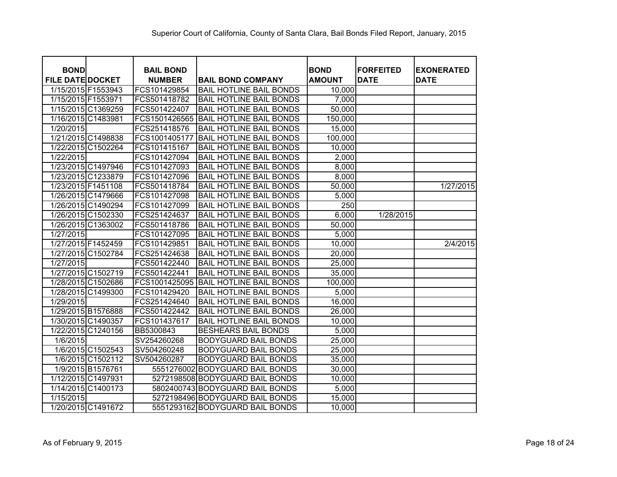| <b>BOND</b>             |                    | <b>BAIL BOND</b> |                                 | <b>BOND</b>   | <b>IFORFEITED</b> | <b>EXONERATED</b> |
|-------------------------|--------------------|------------------|---------------------------------|---------------|-------------------|-------------------|
| <b>FILE DATE DOCKET</b> |                    | <b>NUMBER</b>    | <b>BAIL BOND COMPANY</b>        | <b>AMOUNT</b> | <b>DATE</b>       | <b>DATE</b>       |
| 1/15/2015 F1553943      |                    | FCS101429854     | <b>BAIL HOTLINE BAIL BONDS</b>  | 10,000        |                   |                   |
| 1/15/2015 F1553971      |                    | FCS501418782     | <b>BAIL HOTLINE BAIL BONDS</b>  | 7,000         |                   |                   |
|                         | 1/15/2015 C1369259 | FCS501422407     | <b>BAIL HOTLINE BAIL BONDS</b>  | 50,000        |                   |                   |
| 1/16/2015 C1483981      |                    | FCS1501426565    | <b>BAIL HOTLINE BAIL BONDS</b>  | 150,000       |                   |                   |
| 1/20/2015               |                    | FCS251418576     | <b>BAIL HOTLINE BAIL BONDS</b>  | 15,000        |                   |                   |
|                         | 1/21/2015 C1498838 | FCS1001405177    | <b>BAIL HOTLINE BAIL BONDS</b>  | 100,000       |                   |                   |
|                         | 1/22/2015 C1502264 | FCS101415167     | <b>BAIL HOTLINE BAIL BONDS</b>  | 10,000        |                   |                   |
| 1/22/2015               |                    | FCS101427094     | <b>BAIL HOTLINE BAIL BONDS</b>  | 2,000         |                   |                   |
|                         | 1/23/2015 C1497946 | FCS101427093     | <b>BAIL HOTLINE BAIL BONDS</b>  | 8,000         |                   |                   |
|                         | 1/23/2015 C1233879 | FCS101427096     | <b>BAIL HOTLINE BAIL BONDS</b>  | 8,000         |                   |                   |
| 1/23/2015 F1451108      |                    | FCS501418784     | <b>BAIL HOTLINE BAIL BONDS</b>  | 50,000        |                   | 1/27/2015         |
|                         | 1/26/2015 C1479666 | FCS101427098     | <b>BAIL HOTLINE BAIL BONDS</b>  | 5,000         |                   |                   |
|                         | 1/26/2015 C1490294 | FCS101427099     | <b>BAIL HOTLINE BAIL BONDS</b>  | 250           |                   |                   |
|                         | 1/26/2015 C1502330 | FCS251424637     | <b>BAIL HOTLINE BAIL BONDS</b>  | 6,000         | 1/28/2015         |                   |
|                         | 1/26/2015 C1363002 | FCS501418786     | <b>BAIL HOTLINE BAIL BONDS</b>  | 50,000        |                   |                   |
| 1/27/2015               |                    | FCS101427095     | <b>BAIL HOTLINE BAIL BONDS</b>  | 5,000         |                   |                   |
|                         | 1/27/2015 F1452459 | FCS101429851     | <b>BAIL HOTLINE BAIL BONDS</b>  | 10,000        |                   | 2/4/2015          |
|                         | 1/27/2015 C1502784 | FCS251424638     | <b>BAIL HOTLINE BAIL BONDS</b>  | 20,000        |                   |                   |
| 1/27/2015               |                    | FCS501422440     | <b>BAIL HOTLINE BAIL BONDS</b>  | 25,000        |                   |                   |
|                         | 1/27/2015 C1502719 | FCS501422441     | <b>BAIL HOTLINE BAIL BONDS</b>  | 35,000        |                   |                   |
|                         | 1/28/2015 C1502686 | FCS1001425095    | <b>BAIL HOTLINE BAIL BONDS</b>  | 100,000       |                   |                   |
|                         | 1/28/2015 C1499300 | FCS101429420     | <b>BAIL HOTLINE BAIL BONDS</b>  | 5,000         |                   |                   |
| 1/29/2015               |                    | FCS251424640     | <b>BAIL HOTLINE BAIL BONDS</b>  | 16,000        |                   |                   |
|                         | 1/29/2015 B1576888 | FCS501422442     | <b>BAIL HOTLINE BAIL BONDS</b>  | 26,000        |                   |                   |
|                         | 1/30/2015 C1490357 | FCS101437617     | <b>BAIL HOTLINE BAIL BONDS</b>  | 10,000        |                   |                   |
|                         | 1/22/2015 C1240156 | BB5300843        | <b>BESHEARS BAIL BONDS</b>      | 5,000         |                   |                   |
| 1/6/2015                |                    | SV254260268      | <b>BODYGUARD BAIL BONDS</b>     | 25,000        |                   |                   |
|                         | 1/6/2015 C1502543  | SV504260248      | <b>BODYGUARD BAIL BONDS</b>     | 25,000        |                   |                   |
|                         | 1/6/2015 C1502112  | SV504260287      | <b>BODYGUARD BAIL BONDS</b>     | 35,000        |                   |                   |
|                         | 1/9/2015 B1576761  |                  | 5551276002 BODYGUARD BAIL BONDS | 30,000        |                   |                   |
|                         | 1/12/2015 C1497931 |                  | 5272198508 BODYGUARD BAIL BONDS | 10,000        |                   |                   |
|                         | 1/14/2015 C1400173 |                  | 5802400743 BODYGUARD BAIL BONDS | 5,000         |                   |                   |
| 1/15/2015               |                    |                  | 5272198496 BODYGUARD BAIL BONDS | 15,000        |                   |                   |
|                         | 1/20/2015 C1491672 |                  | 5551293162 BODYGUARD BAIL BONDS | 10,000        |                   |                   |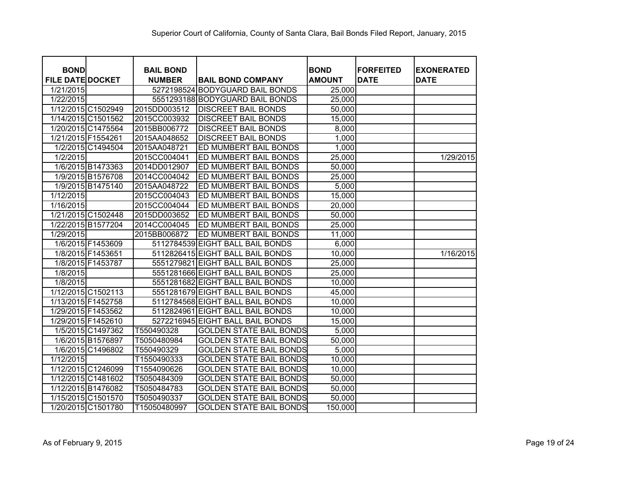| <b>BOND</b>             |                   | <b>BAIL BOND</b> |                                  | <b>BOND</b>   | <b>FORFEITED</b> | <b>EXONERATED</b> |
|-------------------------|-------------------|------------------|----------------------------------|---------------|------------------|-------------------|
| <b>FILE DATE DOCKET</b> |                   | <b>NUMBER</b>    | <b>BAIL BOND COMPANY</b>         | <b>AMOUNT</b> | <b>DATE</b>      | <b>DATE</b>       |
| 1/21/2015               |                   |                  | 5272198524 BODYGUARD BAIL BONDS  | 25,000        |                  |                   |
| 1/22/2015               |                   |                  | 5551293188 BODYGUARD BAIL BONDS  | 25,000        |                  |                   |
| 1/12/2015 C1502949      |                   | 2015DD003512     | <b>DISCREET BAIL BONDS</b>       | 50,000        |                  |                   |
| 1/14/2015 C1501562      |                   | 2015CC003932     | <b>DISCREET BAIL BONDS</b>       | 15,000        |                  |                   |
| 1/20/2015 C1475564      |                   | 2015BB006772     | <b>DISCREET BAIL BONDS</b>       | 8,000         |                  |                   |
| 1/21/2015 F1554261      |                   | 2015AA048652     | <b>DISCREET BAIL BONDS</b>       | 1,000         |                  |                   |
|                         | 1/2/2015 C1494504 | 2015AA048721     | ED MUMBERT BAIL BONDS            | 1,000         |                  |                   |
| 1/2/2015                |                   | 2015CC004041     | <b>ED MUMBERT BAIL BONDS</b>     | 25,000        |                  | 1/29/2015         |
|                         | 1/6/2015 B1473363 | 2014DD012907     | <b>ED MUMBERT BAIL BONDS</b>     | 50,000        |                  |                   |
|                         | 1/9/2015 B1576708 | 2014CC004042     | <b>ED MUMBERT BAIL BONDS</b>     | 25,000        |                  |                   |
|                         | 1/9/2015 B1475140 | 2015AA048722     | ED MUMBERT BAIL BONDS            | 5,000         |                  |                   |
| 1/12/2015               |                   | 2015CC004043     | <b>ED MUMBERT BAIL BONDS</b>     | 15,000        |                  |                   |
| 1/16/2015               |                   | 2015CC004044     | <b>ED MUMBERT BAIL BONDS</b>     | 20,000        |                  |                   |
| 1/21/2015 C1502448      |                   | 2015DD003652     | <b>ED MUMBERT BAIL BONDS</b>     | 50,000        |                  |                   |
| 1/22/2015 B1577204      |                   | 2014CC004045     | <b>ED MUMBERT BAIL BONDS</b>     | 25,000        |                  |                   |
| 1/29/2015               |                   | 2015BB006872     | <b>ED MUMBERT BAIL BONDS</b>     | 11,000        |                  |                   |
|                         | 1/6/2015 F1453609 |                  | 5112784539 EIGHT BALL BAIL BONDS | 6,000         |                  |                   |
| 1/8/2015 F1453651       |                   |                  | 5112826415 EIGHT BALL BAIL BONDS | 10,000        |                  | 1/16/2015         |
| 1/8/2015 F1453787       |                   |                  | 5551279821 EIGHT BALL BAIL BONDS | 25,000        |                  |                   |
| 1/8/2015                |                   |                  | 5551281666 EIGHT BALL BAIL BONDS | 25,000        |                  |                   |
| 1/8/2015                |                   |                  | 5551281682 EIGHT BALL BAIL BONDS | 10,000        |                  |                   |
| 1/12/2015 C1502113      |                   |                  | 5551281679 EIGHT BALL BAIL BONDS | 45,000        |                  |                   |
| 1/13/2015 F1452758      |                   |                  | 5112784568 EIGHT BALL BAIL BONDS | 10,000        |                  |                   |
| 1/29/2015 F1453562      |                   |                  | 5112824961 EIGHT BALL BAIL BONDS | 10,000        |                  |                   |
| 1/29/2015 F1452610      |                   |                  | 5272216945 EIGHT BALL BAIL BONDS | 15,000        |                  |                   |
|                         | 1/5/2015 C1497362 | T550490328       | <b>GOLDEN STATE BAIL BONDS</b>   | 5,000         |                  |                   |
| 1/6/2015 B1576897       |                   | T5050480984      | <b>GOLDEN STATE BAIL BONDS</b>   | 50,000        |                  |                   |
|                         | 1/6/2015 C1496802 | T550490329       | <b>GOLDEN STATE BAIL BONDS</b>   | 5,000         |                  |                   |
| 1/12/2015               |                   | T1550490333      | <b>GOLDEN STATE BAIL BONDS</b>   | 10,000        |                  |                   |
| 1/12/2015 C1246099      |                   | T1554090626      | <b>GOLDEN STATE BAIL BONDS</b>   | 10,000        |                  |                   |
| 1/12/2015 C1481602      |                   | T5050484309      | <b>GOLDEN STATE BAIL BONDS</b>   | 50,000        |                  |                   |
| 1/12/2015 B1476082      |                   | T5050484783      | <b>GOLDEN STATE BAIL BONDS</b>   | 50,000        |                  |                   |
| 1/15/2015 C1501570      |                   | T5050490337      | <b>GOLDEN STATE BAIL BONDS</b>   | 50,000        |                  |                   |
| 1/20/2015 C1501780      |                   | T15050480997     | <b>GOLDEN STATE BAIL BONDS</b>   | 150,000       |                  |                   |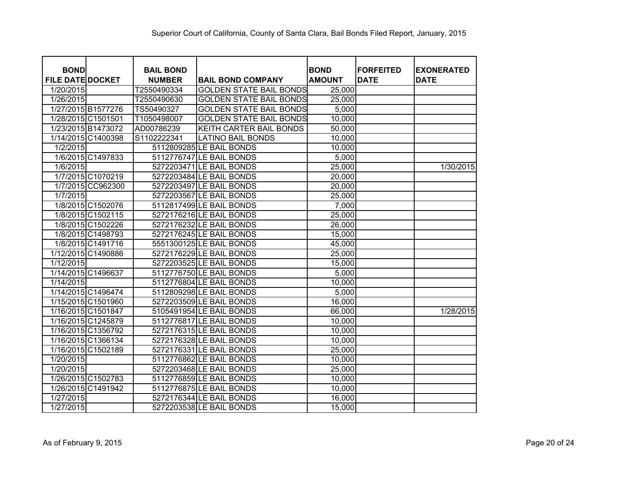| <b>BOND</b>             |                    | <b>BAIL BOND</b> |                                | <b>BOND</b>   | <b>FORFEITED</b> | <b>EXONERATED</b> |
|-------------------------|--------------------|------------------|--------------------------------|---------------|------------------|-------------------|
| <b>FILE DATE DOCKET</b> |                    | <b>NUMBER</b>    | <b>BAIL BOND COMPANY</b>       | <b>AMOUNT</b> | <b>DATE</b>      | <b>DATE</b>       |
| 1/20/2015               |                    | T2550490334      | <b>GOLDEN STATE BAIL BONDS</b> | 25,000        |                  |                   |
| 1/26/2015               |                    | T2550490630      | <b>GOLDEN STATE BAIL BONDS</b> | 25,000        |                  |                   |
|                         | 1/27/2015 B1577276 | TS50490327       | <b>GOLDEN STATE BAIL BONDS</b> | 5,000         |                  |                   |
|                         | 1/28/2015 C1501501 | T1050498007      | <b>GOLDEN STATE BAIL BONDS</b> | 10,000        |                  |                   |
|                         | 1/23/2015 B1473072 | AD00786239       | <b>KEITH CARTER BAIL BONDS</b> | 50,000        |                  |                   |
|                         | 1/14/2015 C1400398 | S1102222341      | <b>LATINO BAIL BONDS</b>       | 10,000        |                  |                   |
| 1/2/2015                |                    |                  | 5112809285 LE BAIL BONDS       | 10,000        |                  |                   |
|                         | 1/6/2015 C1497833  |                  | 5112776747 LE BAIL BONDS       | 5,000         |                  |                   |
| 1/6/2015                |                    |                  | 5272203471 LE BAIL BONDS       | 25,000        |                  | 1/30/2015         |
|                         | 1/7/2015 C1070219  |                  | 5272203484 LE BAIL BONDS       | 20,000        |                  |                   |
|                         | 1/7/2015 CC962300  |                  | 5272203497 LE BAIL BONDS       | 20,000        |                  |                   |
| 1/7/2015                |                    |                  | 5272203567 LE BAIL BONDS       | 25,000        |                  |                   |
|                         | 1/8/2015 C1502076  |                  | 5112817499 LE BAIL BONDS       | 7,000         |                  |                   |
|                         | 1/8/2015 C1502115  |                  | 5272176216 LE BAIL BONDS       | 25,000        |                  |                   |
|                         | 1/8/2015 C1502226  |                  | 5272176232 LE BAIL BONDS       | 26,000        |                  |                   |
|                         | 1/8/2015 C1498793  |                  | 5272176245 LE BAIL BONDS       | 15,000        |                  |                   |
|                         | 1/8/2015 C1491716  |                  | 5551300125 LE BAIL BONDS       | 45,000        |                  |                   |
|                         | 1/12/2015 C1490886 |                  | 5272176229 LE BAIL BONDS       | 25,000        |                  |                   |
| 1/12/2015               |                    |                  | 5272203525 LE BAIL BONDS       | 15,000        |                  |                   |
|                         | 1/14/2015 C1496637 |                  | 5112776750 LE BAIL BONDS       | 5,000         |                  |                   |
| 1/14/2015               |                    |                  | 5112776804 LE BAIL BONDS       | 10,000        |                  |                   |
|                         | 1/14/2015 C1496474 |                  | 5112809298 LE BAIL BONDS       | 5,000         |                  |                   |
|                         | 1/15/2015 C1501960 |                  | 5272203509 LE BAIL BONDS       | 16,000        |                  |                   |
|                         | 1/16/2015 C1501847 |                  | 5105491954 LE BAIL BONDS       | 66,000        |                  | 1/28/2015         |
|                         | 1/16/2015 C1245879 |                  | 5112776817 LE BAIL BONDS       | 10,000        |                  |                   |
|                         | 1/16/2015 C1356792 |                  | 5272176315 LE BAIL BONDS       | 10,000        |                  |                   |
|                         | 1/16/2015 C1366134 |                  | 5272176328 LE BAIL BONDS       | 10,000        |                  |                   |
|                         | 1/16/2015 C1502189 |                  | 5272176331 LE BAIL BONDS       | 25,000        |                  |                   |
| 1/20/2015               |                    |                  | 5112776862 LE BAIL BONDS       | 10,000        |                  |                   |
| 1/20/2015               |                    |                  | 5272203468 LE BAIL BONDS       | 25,000        |                  |                   |
|                         | 1/26/2015 C1502783 |                  | 5112776859 LE BAIL BONDS       | 10,000        |                  |                   |
|                         | 1/26/2015 C1491942 |                  | 5112776875 LE BAIL BONDS       | 10,000        |                  |                   |
| 1/27/2015               |                    |                  | 5272176344 LE BAIL BONDS       | 16,000        |                  |                   |
| 1/27/2015               |                    |                  | 5272203538 LE BAIL BONDS       | 15,000        |                  |                   |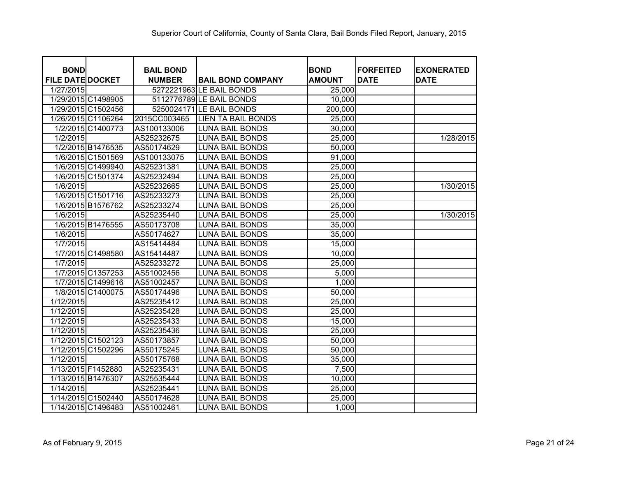| <b>BOND</b>             | <b>BAIL BOND</b> |                           | <b>BOND</b>   | <b>FORFEITED</b> | <b>EXONERATED</b> |
|-------------------------|------------------|---------------------------|---------------|------------------|-------------------|
| <b>FILE DATE DOCKET</b> | <b>NUMBER</b>    | <b>BAIL BOND COMPANY</b>  | <b>AMOUNT</b> | <b>DATE</b>      | <b>DATE</b>       |
| 1/27/2015               |                  | 5272221963 LE BAIL BONDS  | 25,000        |                  |                   |
| 1/29/2015 C1498905      |                  | 5112776789 LE BAIL BONDS  | 10,000        |                  |                   |
| 1/29/2015 C1502456      |                  | 5250024171 LE BAIL BONDS  | 200,000       |                  |                   |
| 1/26/2015 C1106264      | 2015CC003465     | <b>LIEN TA BAIL BONDS</b> | 25,000        |                  |                   |
| 1/2/2015 C1400773       | AS100133006      | <b>LUNA BAIL BONDS</b>    | 30,000        |                  |                   |
| 1/2/2015                | AS25232675       | <b>LUNA BAIL BONDS</b>    | 25,000        |                  | 1/28/2015         |
| 1/2/2015 B1476535       | AS50174629       | <b>LUNA BAIL BONDS</b>    | 50,000        |                  |                   |
| 1/6/2015 C1501569       | AS100133075      | <b>LUNA BAIL BONDS</b>    | 91,000        |                  |                   |
| 1/6/2015 C1499940       | AS25231381       | <b>LUNA BAIL BONDS</b>    | 25,000        |                  |                   |
| 1/6/2015 C1501374       | AS25232494       | <b>LUNA BAIL BONDS</b>    | 25,000        |                  |                   |
| 1/6/2015                | AS25232665       | <b>LUNA BAIL BONDS</b>    | 25,000        |                  | 1/30/2015         |
| 1/6/2015 C1501716       | AS25233273       | <b>LUNA BAIL BONDS</b>    | 25,000        |                  |                   |
| 1/6/2015 B1576762       | AS25233274       | <b>LUNA BAIL BONDS</b>    | 25,000        |                  |                   |
| 1/6/2015                | AS25235440       | <b>LUNA BAIL BONDS</b>    | 25,000        |                  | 1/30/2015         |
| 1/6/2015 B1476555       | AS50173708       | <b>LUNA BAIL BONDS</b>    | 35,000        |                  |                   |
| 1/6/2015                | AS50174627       | <b>LUNA BAIL BONDS</b>    | 35,000        |                  |                   |
| 1/7/2015                | AS15414484       | <b>LUNA BAIL BONDS</b>    | 15,000        |                  |                   |
| 1/7/2015 C1498580       | AS15414487       | <b>LUNA BAIL BONDS</b>    | 10,000        |                  |                   |
| 1/7/2015                | AS25233272       | <b>LUNA BAIL BONDS</b>    | 25,000        |                  |                   |
| 1/7/2015 C1357253       | AS51002456       | <b>LUNA BAIL BONDS</b>    | 5,000         |                  |                   |
| 1/7/2015 C1499616       | AS51002457       | <b>LUNA BAIL BONDS</b>    | 1,000         |                  |                   |
| 1/8/2015 C1400075       | AS50174496       | <b>LUNA BAIL BONDS</b>    | 50,000        |                  |                   |
| 1/12/2015               | AS25235412       | <b>LUNA BAIL BONDS</b>    | 25,000        |                  |                   |
| 1/12/2015               | AS25235428       | <b>LUNA BAIL BONDS</b>    | 25,000        |                  |                   |
| 1/12/2015               | AS25235433       | <b>LUNA BAIL BONDS</b>    | 15,000        |                  |                   |
| 1/12/2015               | AS25235436       | <b>LUNA BAIL BONDS</b>    | 25,000        |                  |                   |
| 1/12/2015 C1502123      | AS50173857       | <b>LUNA BAIL BONDS</b>    | 50,000        |                  |                   |
| 1/12/2015 C1502296      | AS50175245       | <b>LUNA BAIL BONDS</b>    | 50,000        |                  |                   |
| 1/12/2015               | AS50175768       | <b>LUNA BAIL BONDS</b>    | 35,000        |                  |                   |
| 1/13/2015 F1452880      | AS25235431       | <b>LUNA BAIL BONDS</b>    | 7,500         |                  |                   |
| 1/13/2015 B1476307      | AS25535444       | <b>LUNA BAIL BONDS</b>    | 10,000        |                  |                   |
| 1/14/2015               | AS25235441       | <b>LUNA BAIL BONDS</b>    | 25,000        |                  |                   |
| 1/14/2015 C1502440      | AS50174628       | <b>LUNA BAIL BONDS</b>    | 25,000        |                  |                   |
| 1/14/2015 C1496483      | AS51002461       | <b>LUNA BAIL BONDS</b>    | 1,000         |                  |                   |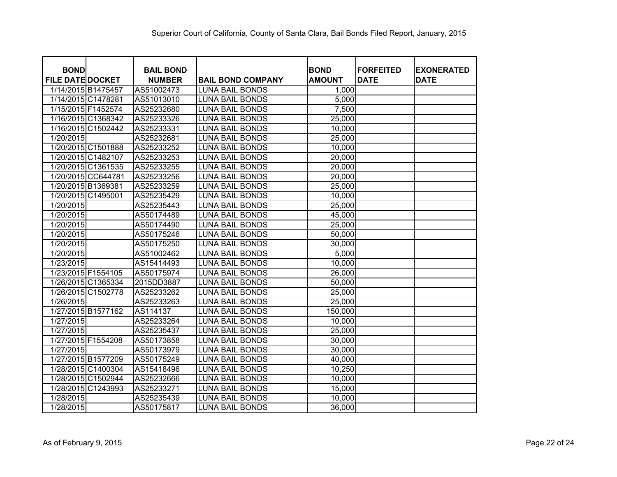| <b>BOND</b>             | <b>BAIL BOND</b> |                          | <b>BOND</b>   | <b>FORFEITED</b> | <b>EXONERATED</b> |
|-------------------------|------------------|--------------------------|---------------|------------------|-------------------|
| <b>FILE DATE DOCKET</b> | <b>NUMBER</b>    | <b>BAIL BOND COMPANY</b> | <b>AMOUNT</b> | <b>DATE</b>      | <b>DATE</b>       |
| 1/14/2015 B1475457      | AS51002473       | <b>LUNA BAIL BONDS</b>   | 1,000         |                  |                   |
| 1/14/2015 C1478281      | AS51013010       | <b>LUNA BAIL BONDS</b>   | 5,000         |                  |                   |
| 1/15/2015 F1452574      | AS25232680       | <b>LUNA BAIL BONDS</b>   | 7,500         |                  |                   |
| 1/16/2015 C1368342      | AS25233326       | <b>LUNA BAIL BONDS</b>   | 25,000        |                  |                   |
| 1/16/2015 C1502442      | AS25233331       | <b>LUNA BAIL BONDS</b>   | 10,000        |                  |                   |
| 1/20/2015               | AS25232681       | <b>LUNA BAIL BONDS</b>   | 25,000        |                  |                   |
| 1/20/2015 C1501888      | AS25233252       | <b>LUNA BAIL BONDS</b>   | 10,000        |                  |                   |
| 1/20/2015 C1482107      | AS25233253       | <b>LUNA BAIL BONDS</b>   | 20,000        |                  |                   |
| 1/20/2015 C1361535      | AS25233255       | <b>LUNA BAIL BONDS</b>   | 20,000        |                  |                   |
| 1/20/2015 CC644781      | AS25233256       | <b>LUNA BAIL BONDS</b>   | 20,000        |                  |                   |
| 1/20/2015 B1369381      | AS25233259       | <b>LUNA BAIL BONDS</b>   | 25,000        |                  |                   |
| 1/20/2015 C1495001      | AS25235429       | <b>LUNA BAIL BONDS</b>   | 10,000        |                  |                   |
| 1/20/2015               | AS25235443       | <b>LUNA BAIL BONDS</b>   | 25,000        |                  |                   |
| 1/20/2015               | AS50174489       | <b>LUNA BAIL BONDS</b>   | 45,000        |                  |                   |
| 1/20/2015               | AS50174490       | <b>LUNA BAIL BONDS</b>   | 25,000        |                  |                   |
| 1/20/2015               | AS50175246       | <b>LUNA BAIL BONDS</b>   | 50,000        |                  |                   |
| 1/20/2015               | AS50175250       | <b>LUNA BAIL BONDS</b>   | 30,000        |                  |                   |
| 1/20/2015               | AS51002462       | <b>LUNA BAIL BONDS</b>   | 5,000         |                  |                   |
| 1/23/2015               | AS15414493       | <b>LUNA BAIL BONDS</b>   | 10,000        |                  |                   |
| 1/23/2015 F1554105      | AS50175974       | <b>LUNA BAIL BONDS</b>   | 26,000        |                  |                   |
| 1/26/2015 C1365334      | 2015DD3887       | <b>LUNA BAIL BONDS</b>   | 50,000        |                  |                   |
| 1/26/2015 C1502778      | AS25233262       | <b>LUNA BAIL BONDS</b>   | 25,000        |                  |                   |
| 1/26/2015               | AS25233263       | <b>LUNA BAIL BONDS</b>   | 25,000        |                  |                   |
| 1/27/2015 B1577162      | AS114137         | <b>LUNA BAIL BONDS</b>   | 150,000       |                  |                   |
| 1/27/2015               | AS25233264       | <b>LUNA BAIL BONDS</b>   | 10,000        |                  |                   |
| 1/27/2015               | AS25235437       | <b>LUNA BAIL BONDS</b>   | 25,000        |                  |                   |
| 1/27/2015 F1554208      | AS50173858       | <b>LUNA BAIL BONDS</b>   | 30,000        |                  |                   |
| 1/27/2015               | AS50173979       | <b>LUNA BAIL BONDS</b>   | 30,000        |                  |                   |
| 1/27/2015 B1577209      | AS50175249       | LUNA BAIL BONDS          | 40,000        |                  |                   |
| 1/28/2015 C1400304      | AS15418496       | LUNA BAIL BONDS          | 10,250        |                  |                   |
| 1/28/2015 C1502944      | AS25232666       | <b>LUNA BAIL BONDS</b>   | 10,000        |                  |                   |
| 1/28/2015 C1243993      | AS25233271       | <b>LUNA BAIL BONDS</b>   | 15,000        |                  |                   |
| 1/28/2015               | AS25235439       | <b>LUNA BAIL BONDS</b>   | 10,000        |                  |                   |
| 1/28/2015               | AS50175817       | <b>LUNA BAIL BONDS</b>   | 36,000        |                  |                   |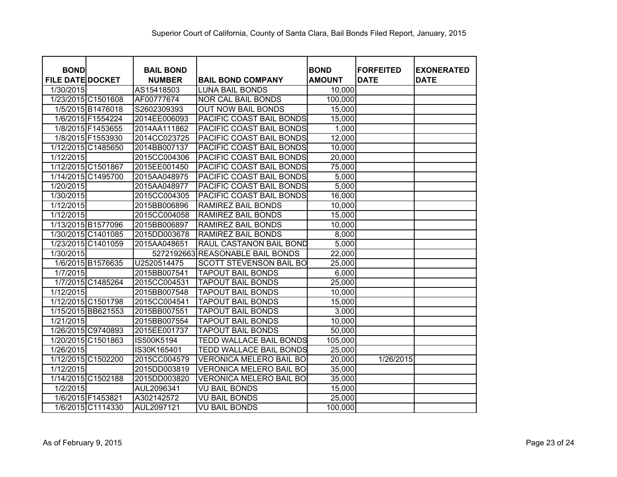| <b>BOND</b>             | <b>BAIL BOND</b> |                                  | <b>BOND</b>   | <b>FORFEITED</b> | <b>EXONERATED</b> |
|-------------------------|------------------|----------------------------------|---------------|------------------|-------------------|
| <b>FILE DATE DOCKET</b> | <b>NUMBER</b>    | <b>BAIL BOND COMPANY</b>         | <b>AMOUNT</b> | <b>DATE</b>      | <b>DATE</b>       |
| 1/30/2015               | AS15418503       | <b>LUNA BAIL BONDS</b>           | 10,000        |                  |                   |
| 1/23/2015 C1501608      | AF00777674       | <b>NOR CAL BAIL BONDS</b>        | 100,000       |                  |                   |
| 1/5/2015 B1476018       | S2602309393      | <b>OUT NOW BAIL BONDS</b>        | 15,000        |                  |                   |
| 1/6/2015 F1554224       | 2014EE006093     | PACIFIC COAST BAIL BONDS         | 15,000        |                  |                   |
| 1/8/2015 F1453655       | 2014AA111862     | PACIFIC COAST BAIL BONDS         | 1,000         |                  |                   |
| 1/8/2015 F1553930       | 2014CC023725     | PACIFIC COAST BAIL BONDS         | 12,000        |                  |                   |
| 1/12/2015 C1485650      | 2014BB007137     | PACIFIC COAST BAIL BONDS         | 10,000        |                  |                   |
| 1/12/2015               | 2015CC004306     | PACIFIC COAST BAIL BONDS         | 20,000        |                  |                   |
| 1/12/2015 C1501867      | 2015EE001450     | PACIFIC COAST BAIL BONDS         | 75,000        |                  |                   |
| 1/14/2015 C1495700      | 2015AA048975     | PACIFIC COAST BAIL BONDS         | 5,000         |                  |                   |
| 1/20/2015               | 2015AA048977     | PACIFIC COAST BAIL BONDS         | 5,000         |                  |                   |
| 1/30/2015               | 2015CC004305     | PACIFIC COAST BAIL BONDS         | 16,000        |                  |                   |
| 1/12/2015               | 2015BB006896     | RAMIREZ BAIL BONDS               | 10,000        |                  |                   |
| 1/12/2015               | 2015CC004058     | RAMIREZ BAIL BONDS               | 15,000        |                  |                   |
| 1/13/2015 B1577096      | 2015BB006897     | <b>RAMIREZ BAIL BONDS</b>        | 10,000        |                  |                   |
| 1/30/2015 C1401085      | 2015DD003678     | RAMIREZ BAIL BONDS               | 8,000         |                  |                   |
| 1/23/2015 C1401059      | 2015AA048651     | RAUL CASTANON BAIL BOND          | 5,000         |                  |                   |
| 1/30/2015               |                  | 5272192663 REASONABLE BAIL BONDS | 22,000        |                  |                   |
| 1/6/2015 B1576635       | U2520514475      | SCOTT STEVENSON BAIL BO          | 25,000        |                  |                   |
| 1/7/2015                | 2015BB007541     | <b>TAPOUT BAIL BONDS</b>         | 6,000         |                  |                   |
| 1/7/2015 C1485264       | 2015CC004531     | <b>TAPOUT BAIL BONDS</b>         | 25,000        |                  |                   |
| 1/12/2015               | 2015BB007548     | <b>TAPOUT BAIL BONDS</b>         | 10,000        |                  |                   |
| 1/12/2015 C1501798      | 2015CC004541     | <b>TAPOUT BAIL BONDS</b>         | 15,000        |                  |                   |
| 1/15/2015 BB621553      | 2015BB007551     | <b>TAPOUT BAIL BONDS</b>         | 3,000         |                  |                   |
| 1/21/2015               | 2015BB007554     | <b>TAPOUT BAIL BONDS</b>         | 10,000        |                  |                   |
| 1/26/2015 C9740893      | 2015EE001737     | <b>TAPOUT BAIL BONDS</b>         | 50,000        |                  |                   |
| 1/20/2015 C1501863      | IS500K5194       | <b>TEDD WALLACE BAIL BONDS</b>   | 105,000       |                  |                   |
| 1/26/2015               | IS30K165401      | <b>TEDD WALLACE BAIL BONDS</b>   | 25,000        |                  |                   |
| 1/12/2015 C1502200      | 2015CC004579     | <b>VERONICA MELERO BAIL BO</b>   | 20,000        | 1/26/2015        |                   |
| 1/12/2015               | 2015DD003819     | <b>VERONICA MELERO BAIL BO</b>   | 35,000        |                  |                   |
| 1/14/2015 C1502188      | 2015DD003820     | VERONICA MELERO BAIL BO          | 35,000        |                  |                   |
| 1/2/2015                | AUL2096341       | VU BAIL BONDS                    | 15,000        |                  |                   |
| 1/6/2015 F1453821       | A302142572       | <b>VU BAIL BONDS</b>             | 25,000        |                  |                   |
| 1/6/2015 C1114330       | AUL2097121       | <b>VU BAIL BONDS</b>             | 100,000       |                  |                   |